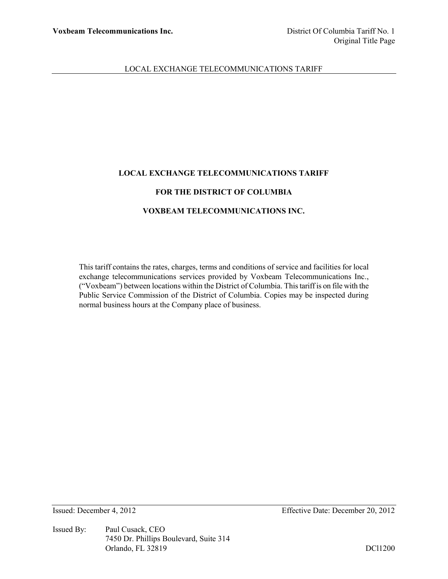# **LOCAL EXCHANGE TELECOMMUNICATIONS TARIFF**

# **FOR THE DISTRICT OF COLUMBIA**

# **VOXBEAM TELECOMMUNICATIONS INC.**

This tariff contains the rates, charges, terms and conditions of service and facilities for local exchange telecommunications services provided by Voxbeam Telecommunications Inc., ("Voxbeam") between locations within the District of Columbia. This tariff is on file with the Public Service Commission of the District of Columbia. Copies may be inspected during normal business hours at the Company place of business.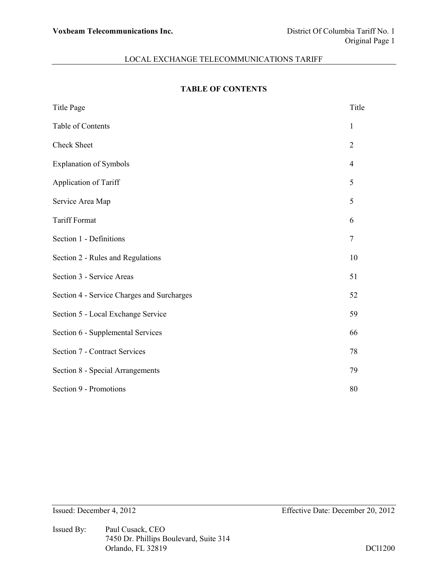# **TABLE OF CONTENTS**

| <b>Title Page</b>                          | Title          |
|--------------------------------------------|----------------|
| Table of Contents                          | 1              |
| Check Sheet                                | $\overline{2}$ |
| <b>Explanation of Symbols</b>              | $\overline{4}$ |
| Application of Tariff                      | 5              |
| Service Area Map                           | 5              |
| <b>Tariff Format</b>                       | 6              |
| Section 1 - Definitions                    | $\overline{7}$ |
| Section 2 - Rules and Regulations          | 10             |
| Section 3 - Service Areas                  | 51             |
| Section 4 - Service Charges and Surcharges | 52             |
| Section 5 - Local Exchange Service         | 59             |
| Section 6 - Supplemental Services          | 66             |
| <b>Section 7 - Contract Services</b>       | 78             |
| Section 8 - Special Arrangements           | 79             |
| Section 9 - Promotions                     | 80             |

Issued By: Paul Cusack, CEO 7450 Dr. Phillips Boulevard, Suite 314 Orlando, FL 32819 DCl1200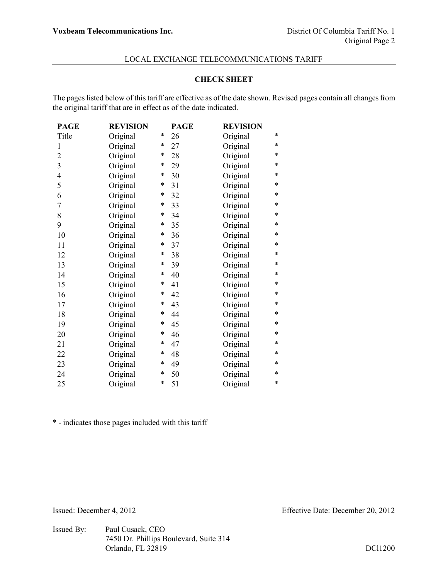#### **CHECK SHEET**

The pages listed below of this tariff are effective as of the date shown. Revised pages contain all changes from the original tariff that are in effect as of the date indicated.

| <b>PAGE</b>    | <b>REVISION</b> |        | <b>PAGE</b> | <b>REVISION</b> |   |
|----------------|-----------------|--------|-------------|-----------------|---|
| Title          | Original        | *      | 26          | Original        | * |
| 1              | Original        | $\ast$ | 27          | Original        | * |
| 2              | Original        | *      | 28          | Original        | * |
| 3              | Original        | $\ast$ | 29          | Original        | * |
| $\overline{4}$ | Original        | *      | 30          | Original        | * |
| 5              | Original        | *      | 31          | Original        | * |
| 6              | Original        | *      | 32          | Original        | * |
| 7              | Original        | *      | 33          | Original        | * |
| 8              | Original        | $\ast$ | 34          | Original        | * |
| 9              | Original        | $\ast$ | 35          | Original        | * |
| 10             | Original        | *      | 36          | Original        | * |
| 11             | Original        | $\ast$ | 37          | Original        | * |
| 12             | Original        | $\ast$ | 38          | Original        | * |
| 13             | Original        | $\ast$ | 39          | Original        | * |
| 14             | Original        | $\ast$ | 40          | Original        | * |
| 15             | Original        | $\ast$ | 41          | Original        | * |
| 16             | Original        | *      | 42          | Original        | * |
| 17             | Original        | *      | 43          | Original        | * |
| 18             | Original        | *      | 44          | Original        | * |
| 19             | Original        | *      | 45          | Original        | * |
| 20             | Original        | $\ast$ | 46          | Original        | * |
| 21             | Original        | $\ast$ | 47          | Original        | * |
| 22             | Original        | $\ast$ | 48          | Original        | * |
| 23             | Original        | *      | 49          | Original        | * |
| 24             | Original        | $\ast$ | 50          | Original        | * |
| 25             | Original        | *      | 51          | Original        | * |

\* - indicates those pages included with this tariff

Issued By: Paul Cusack, CEO 7450 Dr. Phillips Boulevard, Suite 314 Orlando, FL 32819 DCl1200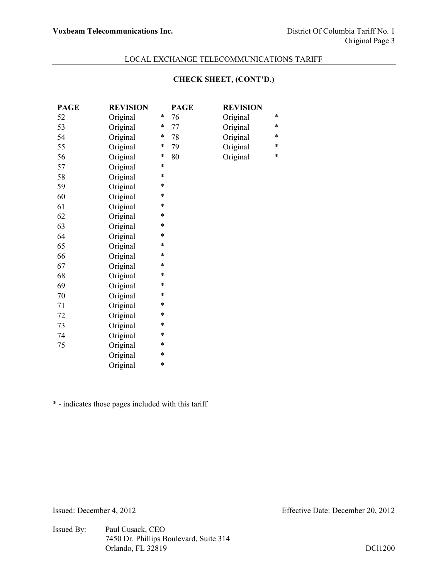# **CHECK SHEET, (CONT'D.)**

| <b>PAGE</b> | <b>REVISION</b> |        | <b>PAGE</b> | <b>REVISION</b> |        |
|-------------|-----------------|--------|-------------|-----------------|--------|
| 52          | Original        | $\ast$ | 76          | Original        | *      |
| 53          | Original        | *      | 77          | Original        | *      |
| 54          | Original        | $\ast$ | 78          | Original        | $\ast$ |
| 55          | Original        | $\ast$ | 79          | Original        | $\ast$ |
| 56          | Original        | $\ast$ | 80          | Original        | $\ast$ |
| 57          | Original        | *      |             |                 |        |
| 58          | Original        | *      |             |                 |        |
| 59          | Original        | $\ast$ |             |                 |        |
| 60          | Original        | *      |             |                 |        |
| 61          | Original        | *      |             |                 |        |
| 62          | Original        | $\ast$ |             |                 |        |
| 63          | Original        | *      |             |                 |        |
| 64          | Original        | $\ast$ |             |                 |        |
| 65          | Original        | *      |             |                 |        |
| 66          | Original        | *      |             |                 |        |
| 67          | Original        | *      |             |                 |        |
| 68          | Original        | *      |             |                 |        |
| 69          | Original        | *      |             |                 |        |
| 70          | Original        | *      |             |                 |        |
| 71          | Original        | *      |             |                 |        |
| 72          | Original        | *      |             |                 |        |
| 73          | Original        | *      |             |                 |        |
| 74          | Original        | *      |             |                 |        |
| 75          | Original        | $\ast$ |             |                 |        |
|             | Original        | $\ast$ |             |                 |        |
|             | Original        | $\ast$ |             |                 |        |
|             |                 |        |             |                 |        |

\* - indicates those pages included with this tariff

Issued By: Paul Cusack, CEO 7450 Dr. Phillips Boulevard, Suite 314 Orlando, FL 32819 DCl1200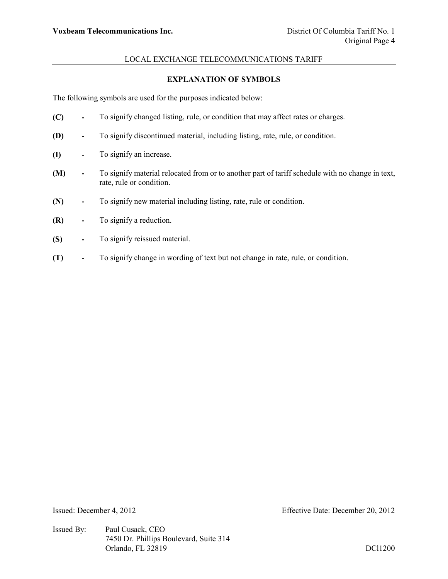# **EXPLANATION OF SYMBOLS**

The following symbols are used for the purposes indicated below:

- **(C) -** To signify changed listing, rule, or condition that may affect rates or charges.
- **(D) -** To signify discontinued material, including listing, rate, rule, or condition.
- **(I) -** To signify an increase.
- **(M) -** To signify material relocated from or to another part of tariff schedule with no change in text, rate, rule or condition.
- **(N) -** To signify new material including listing, rate, rule or condition.
- **(R) -** To signify a reduction.
- **(S) -** To signify reissued material.
- **(T) -** To signify change in wording of text but not change in rate, rule, or condition.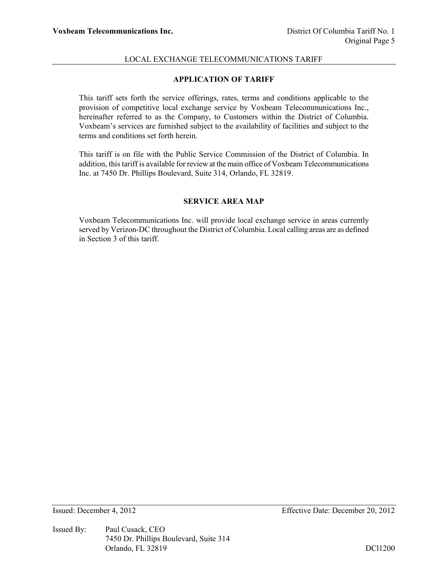# **APPLICATION OF TARIFF**

This tariff sets forth the service offerings, rates, terms and conditions applicable to the provision of competitive local exchange service by Voxbeam Telecommunications Inc., hereinafter referred to as the Company, to Customers within the District of Columbia. Voxbeam's services are furnished subject to the availability of facilities and subject to the terms and conditions set forth herein.

This tariff is on file with the Public Service Commission of the District of Columbia. In addition, this tariff is available for review at the main office of Voxbeam Telecommunications Inc. at 7450 Dr. Phillips Boulevard, Suite 314, Orlando, FL 32819.

# **SERVICE AREA MAP**

Voxbeam Telecommunications Inc. will provide local exchange service in areas currently served by Verizon-DC throughout the District of Columbia. Local calling areas are as defined in Section 3 of this tariff.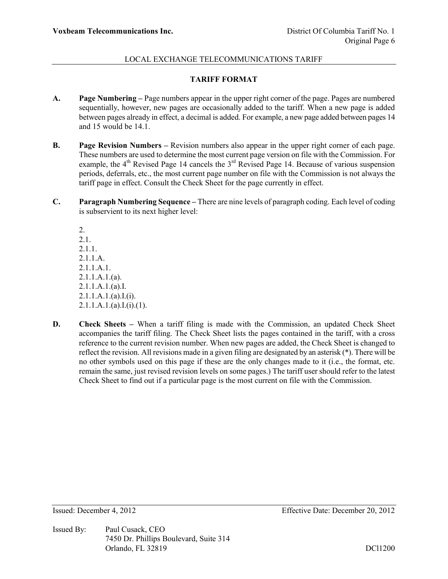# **TARIFF FORMAT**

- **A. Page Numbering –** Page numbers appear in the upper right corner of the page. Pages are numbered sequentially, however, new pages are occasionally added to the tariff. When a new page is added between pages already in effect, a decimal is added. For example, a new page added between pages 14 and 15 would be 14.1.
- **B. Page Revision Numbers –** Revision numbers also appear in the upper right corner of each page. These numbers are used to determine the most current page version on file with the Commission. For example, the  $4<sup>th</sup>$  Revised Page 14 cancels the  $3<sup>rd</sup>$  Revised Page 14. Because of various suspension periods, deferrals, etc., the most current page number on file with the Commission is not always the tariff page in effect. Consult the Check Sheet for the page currently in effect.
- **C. Paragraph Numbering Sequence –** There are nine levels of paragraph coding. Each level of coding is subservient to its next higher level:

2. 2.1. 2.1.1. 2.1.1.A. 2.1.1.A.1.  $2.1.1.A.1.(a)$ . 2.1.1.A.1.(a).I.  $2.1.1.A.1.(a).I.(i).$  $2.1.1.A.1.(a).I.(i).(1).$ 

**D. Check Sheets** – When a tariff filing is made with the Commission, an updated Check Sheet accompanies the tariff filing. The Check Sheet lists the pages contained in the tariff, with a cross reference to the current revision number. When new pages are added, the Check Sheet is changed to reflect the revision. All revisions made in a given filing are designated by an asterisk (\*). There will be no other symbols used on this page if these are the only changes made to it (i.e., the format, etc. remain the same, just revised revision levels on some pages.) The tariff user should refer to the latest Check Sheet to find out if a particular page is the most current on file with the Commission.

Issued By: Paul Cusack, CEO 7450 Dr. Phillips Boulevard, Suite 314 Orlando, FL 32819 DCl1200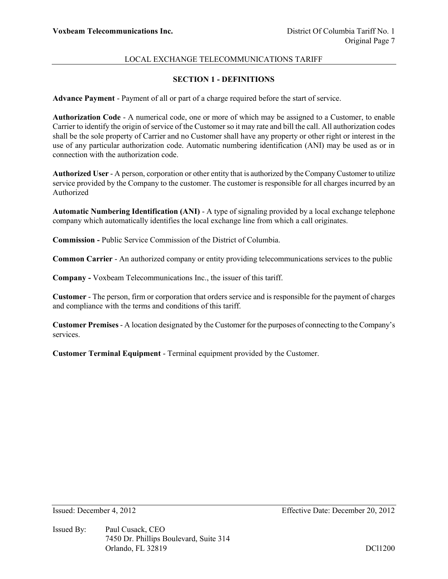# **SECTION 1 - DEFINITIONS**

**Advance Payment** - Payment of all or part of a charge required before the start of service.

**Authorization Code** - A numerical code, one or more of which may be assigned to a Customer, to enable Carrier to identify the origin of service of the Customer so it may rate and bill the call. All authorization codes shall be the sole property of Carrier and no Customer shall have any property or other right or interest in the use of any particular authorization code. Automatic numbering identification (ANI) may be used as or in connection with the authorization code.

**Authorized User** - A person, corporation or other entity that is authorized by the Company Customer to utilize service provided by the Company to the customer. The customer is responsible for all charges incurred by an Authorized

**Automatic Numbering Identification (ANI)** - A type of signaling provided by a local exchange telephone company which automatically identifies the local exchange line from which a call originates.

**Commission -** Public Service Commission of the District of Columbia.

**Common Carrier** - An authorized company or entity providing telecommunications services to the public

**Company -** Voxbeam Telecommunications Inc., the issuer of this tariff.

**Customer** - The person, firm or corporation that orders service and is responsible for the payment of charges and compliance with the terms and conditions of this tariff.

**Customer Premises** - A location designated by the Customer for the purposes of connecting to the Company's services.

**Customer Terminal Equipment** - Terminal equipment provided by the Customer.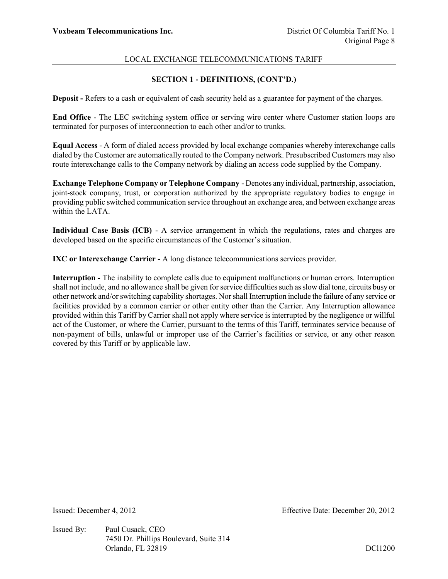# **SECTION 1 - DEFINITIONS, (CONT'D.)**

**Deposit -** Refers to a cash or equivalent of cash security held as a guarantee for payment of the charges.

**End Office** - The LEC switching system office or serving wire center where Customer station loops are terminated for purposes of interconnection to each other and/or to trunks.

**Equal Access** - A form of dialed access provided by local exchange companies whereby interexchange calls dialed by the Customer are automatically routed to the Company network. Presubscribed Customers may also route interexchange calls to the Company network by dialing an access code supplied by the Company.

**Exchange Telephone Company or Telephone Company** - Denotes any individual, partnership, association, joint-stock company, trust, or corporation authorized by the appropriate regulatory bodies to engage in providing public switched communication service throughout an exchange area, and between exchange areas within the LATA.

**Individual Case Basis (ICB)** - A service arrangement in which the regulations, rates and charges are developed based on the specific circumstances of the Customer's situation.

**IXC or Interexchange Carrier -** A long distance telecommunications services provider.

**Interruption** - The inability to complete calls due to equipment malfunctions or human errors. Interruption shall not include, and no allowance shall be given for service difficulties such as slow dial tone, circuits busy or other network and/or switching capability shortages. Nor shall Interruption include the failure of any service or facilities provided by a common carrier or other entity other than the Carrier. Any Interruption allowance provided within this Tariff by Carrier shall not apply where service is interrupted by the negligence or willful act of the Customer, or where the Carrier, pursuant to the terms of this Tariff, terminates service because of non-payment of bills, unlawful or improper use of the Carrier's facilities or service, or any other reason covered by this Tariff or by applicable law.

Issued By: Paul Cusack, CEO 7450 Dr. Phillips Boulevard, Suite 314 Orlando, FL 32819 DCl1200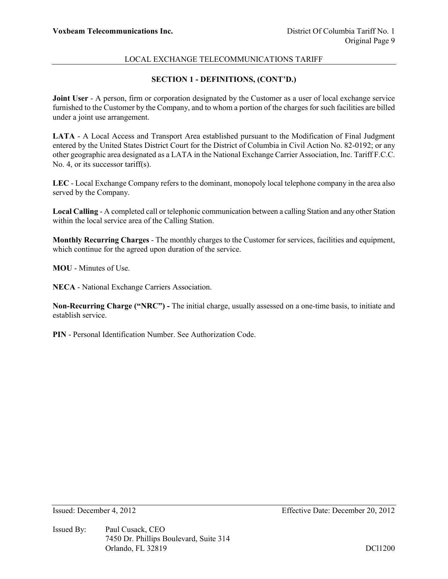# **SECTION 1 - DEFINITIONS, (CONT'D.)**

**Joint User** - A person, firm or corporation designated by the Customer as a user of local exchange service furnished to the Customer by the Company, and to whom a portion of the charges for such facilities are billed under a joint use arrangement.

**LATA** - A Local Access and Transport Area established pursuant to the Modification of Final Judgment entered by the United States District Court for the District of Columbia in Civil Action No. 82-0192; or any other geographic area designated as a LATA in the National Exchange Carrier Association, Inc. Tariff F.C.C. No. 4, or its successor tariff(s).

**LEC** - Local Exchange Company refers to the dominant, monopoly local telephone company in the area also served by the Company.

**Local Calling** - A completed call or telephonic communication between a calling Station and any other Station within the local service area of the Calling Station.

**Monthly Recurring Charges** - The monthly charges to the Customer for services, facilities and equipment, which continue for the agreed upon duration of the service.

**MOU** - Minutes of Use.

**NECA** - National Exchange Carriers Association.

**Non-Recurring Charge ("NRC") -** The initial charge, usually assessed on a one-time basis, to initiate and establish service.

**PIN** - Personal Identification Number. See Authorization Code.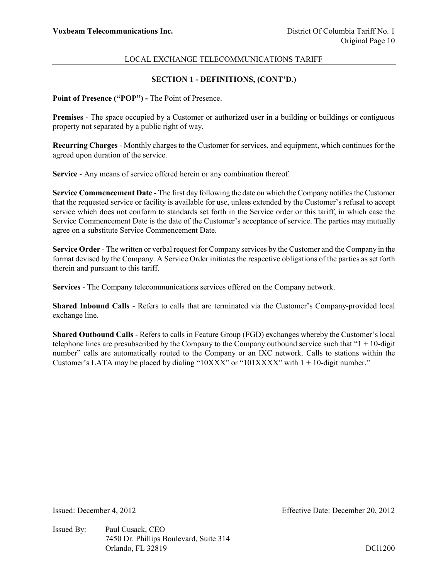# **SECTION 1 - DEFINITIONS, (CONT'D.)**

**Point of Presence ("POP") -** The Point of Presence.

**Premises** - The space occupied by a Customer or authorized user in a building or buildings or contiguous property not separated by a public right of way.

**Recurring Charges** - Monthly charges to the Customer for services, and equipment, which continues for the agreed upon duration of the service.

**Service** - Any means of service offered herein or any combination thereof.

**Service Commencement Date** - The first day following the date on which the Company notifies the Customer that the requested service or facility is available for use, unless extended by the Customer's refusal to accept service which does not conform to standards set forth in the Service order or this tariff, in which case the Service Commencement Date is the date of the Customer's acceptance of service. The parties may mutually agree on a substitute Service Commencement Date.

**Service Order** - The written or verbal request for Company services by the Customer and the Company in the format devised by the Company. A Service Order initiates the respective obligations of the parties as set forth therein and pursuant to this tariff.

**Services** - The Company telecommunications services offered on the Company network.

**Shared Inbound Calls** - Refers to calls that are terminated via the Customer's Company-provided local exchange line.

**Shared Outbound Calls** - Refers to calls in Feature Group (FGD) exchanges whereby the Customer's local telephone lines are presubscribed by the Company to the Company outbound service such that " $1 + 10$ -digit" number" calls are automatically routed to the Company or an IXC network. Calls to stations within the Customer's LATA may be placed by dialing "10XXX" or "101XXXX" with  $1 + 10$ -digit number."

Issued By: Paul Cusack, CEO 7450 Dr. Phillips Boulevard, Suite 314 Orlando, FL 32819 DCl1200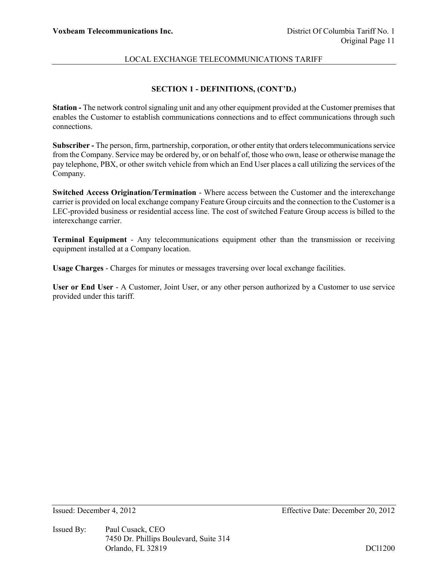# **SECTION 1 - DEFINITIONS, (CONT'D.)**

**Station -** The network control signaling unit and any other equipment provided at the Customer premises that enables the Customer to establish communications connections and to effect communications through such connections.

**Subscriber -** The person, firm, partnership, corporation, or other entity that orders telecommunications service from the Company. Service may be ordered by, or on behalf of, those who own, lease or otherwise manage the pay telephone, PBX, or other switch vehicle from which an End User places a call utilizing the services of the Company.

**Switched Access Origination/Termination** - Where access between the Customer and the interexchange carrier is provided on local exchange company Feature Group circuits and the connection to the Customer is a LEC-provided business or residential access line. The cost of switched Feature Group access is billed to the interexchange carrier.

**Terminal Equipment** - Any telecommunications equipment other than the transmission or receiving equipment installed at a Company location.

**Usage Charges** - Charges for minutes or messages traversing over local exchange facilities.

**User or End User** - A Customer, Joint User, or any other person authorized by a Customer to use service provided under this tariff.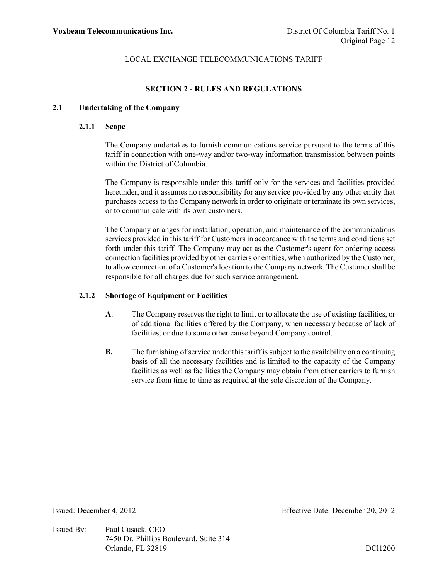# **SECTION 2 - RULES AND REGULATIONS**

#### **2.1 Undertaking of the Company**

#### **2.1.1 Scope**

The Company undertakes to furnish communications service pursuant to the terms of this tariff in connection with one-way and/or two-way information transmission between points within the District of Columbia.

The Company is responsible under this tariff only for the services and facilities provided hereunder, and it assumes no responsibility for any service provided by any other entity that purchases access to the Company network in order to originate or terminate its own services, or to communicate with its own customers.

The Company arranges for installation, operation, and maintenance of the communications services provided in this tariff for Customers in accordance with the terms and conditions set forth under this tariff. The Company may act as the Customer's agent for ordering access connection facilities provided by other carriers or entities, when authorized by the Customer, to allow connection of a Customer's location to the Company network. The Customer shall be responsible for all charges due for such service arrangement.

# **2.1.2 Shortage of Equipment or Facilities**

- **A**. The Company reserves the right to limit or to allocate the use of existing facilities, or of additional facilities offered by the Company, when necessary because of lack of facilities, or due to some other cause beyond Company control.
- **B.** The furnishing of service under this tariff is subject to the availability on a continuing basis of all the necessary facilities and is limited to the capacity of the Company facilities as well as facilities the Company may obtain from other carriers to furnish service from time to time as required at the sole discretion of the Company.

Issued By: Paul Cusack, CEO 7450 Dr. Phillips Boulevard, Suite 314 Orlando, FL 32819 DCl1200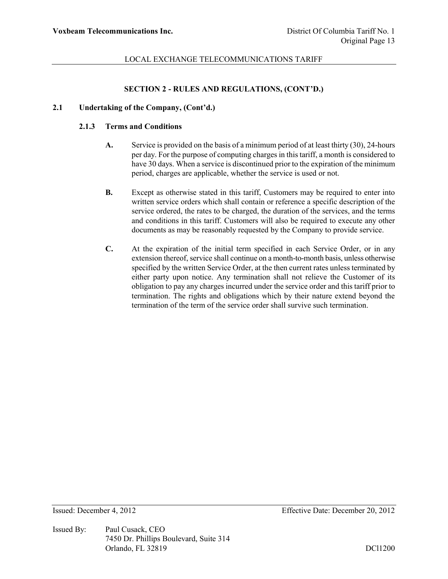#### **SECTION 2 - RULES AND REGULATIONS, (CONT'D.)**

### **2.1 Undertaking of the Company, (Cont'd.)**

# **2.1.3 Terms and Conditions**

- **A.** Service is provided on the basis of a minimum period of at least thirty (30), 24-hours per day. For the purpose of computing charges in this tariff, a month is considered to have 30 days. When a service is discontinued prior to the expiration of the minimum period, charges are applicable, whether the service is used or not.
- **B.** Except as otherwise stated in this tariff, Customers may be required to enter into written service orders which shall contain or reference a specific description of the service ordered, the rates to be charged, the duration of the services, and the terms and conditions in this tariff. Customers will also be required to execute any other documents as may be reasonably requested by the Company to provide service.
- **C.** At the expiration of the initial term specified in each Service Order, or in any extension thereof, service shall continue on a month-to-month basis, unless otherwise specified by the written Service Order, at the then current rates unless terminated by either party upon notice. Any termination shall not relieve the Customer of its obligation to pay any charges incurred under the service order and this tariff prior to termination. The rights and obligations which by their nature extend beyond the termination of the term of the service order shall survive such termination.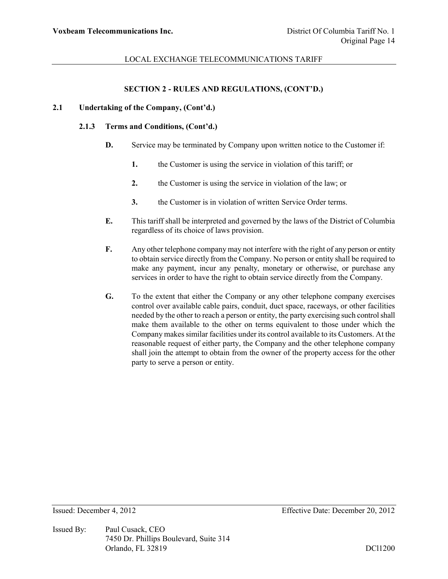#### **SECTION 2 - RULES AND REGULATIONS, (CONT'D.)**

## **2.1 Undertaking of the Company, (Cont'd.)**

### **2.1.3 Terms and Conditions, (Cont'd.)**

- **D.** Service may be terminated by Company upon written notice to the Customer if:
	- **1.** the Customer is using the service in violation of this tariff; or
	- **2.** the Customer is using the service in violation of the law; or
	- **3.** the Customer is in violation of written Service Order terms.
- **E.** This tariff shall be interpreted and governed by the laws of the District of Columbia regardless of its choice of laws provision.
- **F.** Any other telephone company may not interfere with the right of any person or entity to obtain service directly from the Company. No person or entity shall be required to make any payment, incur any penalty, monetary or otherwise, or purchase any services in order to have the right to obtain service directly from the Company.
- **G.** To the extent that either the Company or any other telephone company exercises control over available cable pairs, conduit, duct space, raceways, or other facilities needed by the other to reach a person or entity, the party exercising such control shall make them available to the other on terms equivalent to those under which the Company makes similar facilities under its control available to its Customers. At the reasonable request of either party, the Company and the other telephone company shall join the attempt to obtain from the owner of the property access for the other party to serve a person or entity.

Issued By: Paul Cusack, CEO 7450 Dr. Phillips Boulevard, Suite 314 Orlando, FL 32819 DCl1200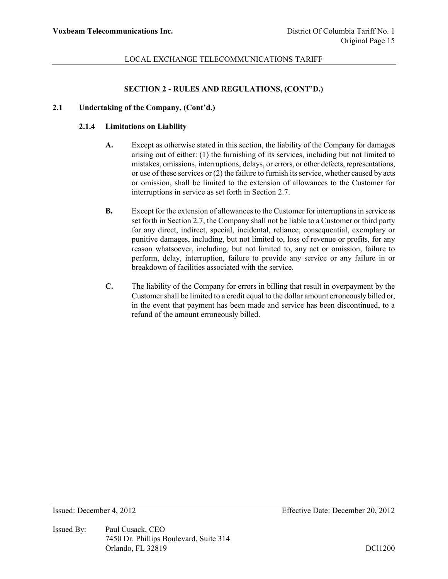#### **SECTION 2 - RULES AND REGULATIONS, (CONT'D.)**

### **2.1 Undertaking of the Company, (Cont'd.)**

#### **2.1.4 Limitations on Liability**

- **A.** Except as otherwise stated in this section, the liability of the Company for damages arising out of either: (1) the furnishing of its services, including but not limited to mistakes, omissions, interruptions, delays, or errors, or other defects, representations, or use of these services or (2) the failure to furnish its service, whether caused by acts or omission, shall be limited to the extension of allowances to the Customer for interruptions in service as set forth in Section 2.7.
- **B.** Except for the extension of allowances to the Customer for interruptions in service as set forth in Section 2.7, the Company shall not be liable to a Customer or third party for any direct, indirect, special, incidental, reliance, consequential, exemplary or punitive damages, including, but not limited to, loss of revenue or profits, for any reason whatsoever, including, but not limited to, any act or omission, failure to perform, delay, interruption, failure to provide any service or any failure in or breakdown of facilities associated with the service.
- **C.** The liability of the Company for errors in billing that result in overpayment by the Customer shall be limited to a credit equal to the dollar amount erroneously billed or, in the event that payment has been made and service has been discontinued, to a refund of the amount erroneously billed.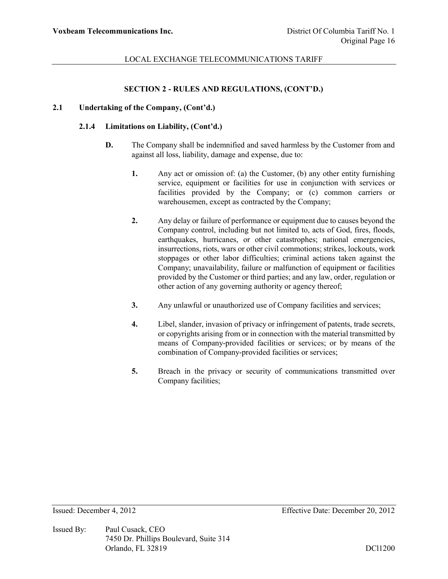#### **SECTION 2 - RULES AND REGULATIONS, (CONT'D.)**

#### **2.1 Undertaking of the Company, (Cont'd.)**

#### **2.1.4 Limitations on Liability, (Cont'd.)**

- **D.** The Company shall be indemnified and saved harmless by the Customer from and against all loss, liability, damage and expense, due to:
	- **1.** Any act or omission of: (a) the Customer, (b) any other entity furnishing service, equipment or facilities for use in conjunction with services or facilities provided by the Company; or (c) common carriers or warehousemen, except as contracted by the Company;
	- **2.** Any delay or failure of performance or equipment due to causes beyond the Company control, including but not limited to, acts of God, fires, floods, earthquakes, hurricanes, or other catastrophes; national emergencies, insurrections, riots, wars or other civil commotions; strikes, lockouts, work stoppages or other labor difficulties; criminal actions taken against the Company; unavailability, failure or malfunction of equipment or facilities provided by the Customer or third parties; and any law, order, regulation or other action of any governing authority or agency thereof;
	- **3.** Any unlawful or unauthorized use of Company facilities and services;
	- **4.** Libel, slander, invasion of privacy or infringement of patents, trade secrets, or copyrights arising from or in connection with the material transmitted by means of Company-provided facilities or services; or by means of the combination of Company-provided facilities or services;
	- **5.** Breach in the privacy or security of communications transmitted over Company facilities;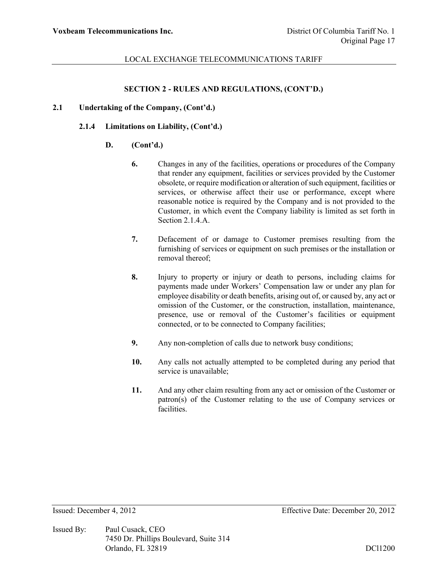## **SECTION 2 - RULES AND REGULATIONS, (CONT'D.)**

### **2.1 Undertaking of the Company, (Cont'd.)**

# **2.1.4 Limitations on Liability, (Cont'd.)**

#### **D. (Cont'd.)**

- **6.** Changes in any of the facilities, operations or procedures of the Company that render any equipment, facilities or services provided by the Customer obsolete, or require modification or alteration of such equipment, facilities or services, or otherwise affect their use or performance, except where reasonable notice is required by the Company and is not provided to the Customer, in which event the Company liability is limited as set forth in Section 2.1.4.A.
- **7.** Defacement of or damage to Customer premises resulting from the furnishing of services or equipment on such premises or the installation or removal thereof;
- **8.** Injury to property or injury or death to persons, including claims for payments made under Workers' Compensation law or under any plan for employee disability or death benefits, arising out of, or caused by, any act or omission of the Customer, or the construction, installation, maintenance, presence, use or removal of the Customer's facilities or equipment connected, or to be connected to Company facilities;
- **9.** Any non-completion of calls due to network busy conditions;
- **10.** Any calls not actually attempted to be completed during any period that service is unavailable;
- **11.** And any other claim resulting from any act or omission of the Customer or patron(s) of the Customer relating to the use of Company services or facilities.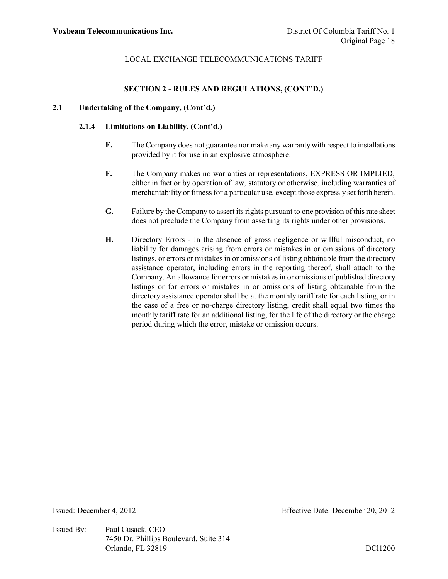# **SECTION 2 - RULES AND REGULATIONS, (CONT'D.)**

### **2.1 Undertaking of the Company, (Cont'd.)**

### **2.1.4 Limitations on Liability, (Cont'd.)**

- **E.** The Company does not guarantee nor make any warranty with respect to installations provided by it for use in an explosive atmosphere.
- **F.** The Company makes no warranties or representations, EXPRESS OR IMPLIED, either in fact or by operation of law, statutory or otherwise, including warranties of merchantability or fitness for a particular use, except those expressly set forth herein.
- **G.** Failure by the Company to assert its rights pursuant to one provision of this rate sheet does not preclude the Company from asserting its rights under other provisions.
- **H.** Directory Errors In the absence of gross negligence or willful misconduct, no liability for damages arising from errors or mistakes in or omissions of directory listings, or errors or mistakes in or omissions of listing obtainable from the directory assistance operator, including errors in the reporting thereof, shall attach to the Company. An allowance for errors or mistakes in or omissions of published directory listings or for errors or mistakes in or omissions of listing obtainable from the directory assistance operator shall be at the monthly tariff rate for each listing, or in the case of a free or no-charge directory listing, credit shall equal two times the monthly tariff rate for an additional listing, for the life of the directory or the charge period during which the error, mistake or omission occurs.

Issued By: Paul Cusack, CEO 7450 Dr. Phillips Boulevard, Suite 314 Orlando, FL 32819 DCl1200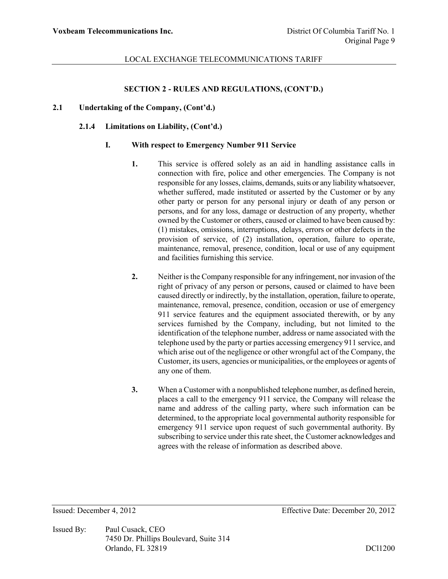## **SECTION 2 - RULES AND REGULATIONS, (CONT'D.)**

### **2.1 Undertaking of the Company, (Cont'd.)**

### **2.1.4 Limitations on Liability, (Cont'd.)**

#### **I. With respect to Emergency Number 911 Service**

- **1.** This service is offered solely as an aid in handling assistance calls in connection with fire, police and other emergencies. The Company is not responsible for any losses, claims, demands, suits or any liability whatsoever, whether suffered, made instituted or asserted by the Customer or by any other party or person for any personal injury or death of any person or persons, and for any loss, damage or destruction of any property, whether owned by the Customer or others, caused or claimed to have been caused by: (1) mistakes, omissions, interruptions, delays, errors or other defects in the provision of service, of (2) installation, operation, failure to operate, maintenance, removal, presence, condition, local or use of any equipment and facilities furnishing this service.
- **2.** Neither is the Company responsible for any infringement, nor invasion of the right of privacy of any person or persons, caused or claimed to have been caused directly or indirectly, by the installation, operation, failure to operate, maintenance, removal, presence, condition, occasion or use of emergency 911 service features and the equipment associated therewith, or by any services furnished by the Company, including, but not limited to the identification of the telephone number, address or name associated with the telephone used by the party or parties accessing emergency 911 service, and which arise out of the negligence or other wrongful act of the Company, the Customer, its users, agencies or municipalities, or the employees or agents of any one of them.
- **3.** When a Customer with a nonpublished telephone number, as defined herein, places a call to the emergency 911 service, the Company will release the name and address of the calling party, where such information can be determined, to the appropriate local governmental authority responsible for emergency 911 service upon request of such governmental authority. By subscribing to service under this rate sheet, the Customer acknowledges and agrees with the release of information as described above.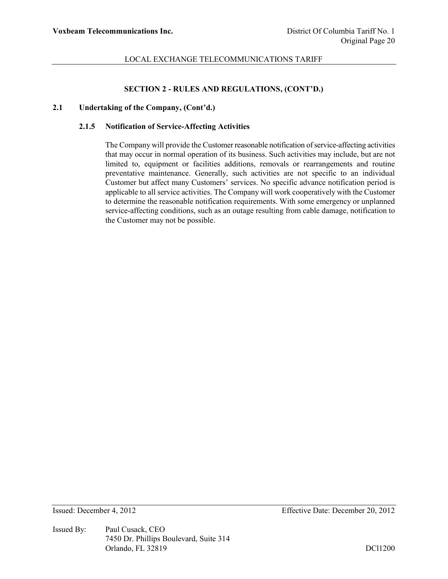## **SECTION 2 - RULES AND REGULATIONS, (CONT'D.)**

### **2.1 Undertaking of the Company, (Cont'd.)**

# **2.1.5 Notification of Service-Affecting Activities**

The Company will provide the Customer reasonable notification of service-affecting activities that may occur in normal operation of its business. Such activities may include, but are not limited to, equipment or facilities additions, removals or rearrangements and routine preventative maintenance. Generally, such activities are not specific to an individual Customer but affect many Customers' services. No specific advance notification period is applicable to all service activities. The Company will work cooperatively with the Customer to determine the reasonable notification requirements. With some emergency or unplanned service-affecting conditions, such as an outage resulting from cable damage, notification to the Customer may not be possible.

Issued By: Paul Cusack, CEO 7450 Dr. Phillips Boulevard, Suite 314 Orlando, FL 32819 DCl1200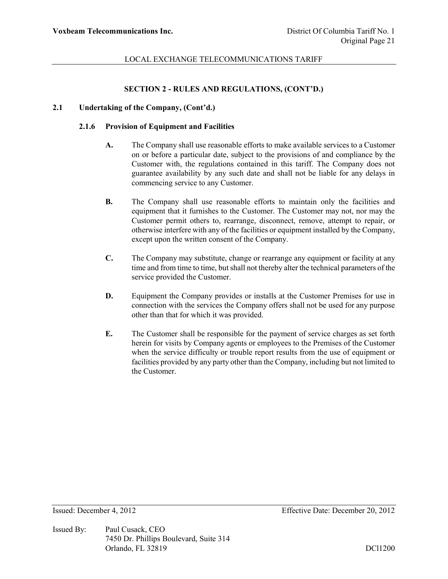#### **SECTION 2 - RULES AND REGULATIONS, (CONT'D.)**

## **2.1 Undertaking of the Company, (Cont'd.)**

#### **2.1.6 Provision of Equipment and Facilities**

- **A.** The Company shall use reasonable efforts to make available services to a Customer on or before a particular date, subject to the provisions of and compliance by the Customer with, the regulations contained in this tariff. The Company does not guarantee availability by any such date and shall not be liable for any delays in commencing service to any Customer.
- **B.** The Company shall use reasonable efforts to maintain only the facilities and equipment that it furnishes to the Customer. The Customer may not, nor may the Customer permit others to, rearrange, disconnect, remove, attempt to repair, or otherwise interfere with any of the facilities or equipment installed by the Company, except upon the written consent of the Company.
- **C.** The Company may substitute, change or rearrange any equipment or facility at any time and from time to time, but shall not thereby alter the technical parameters of the service provided the Customer.
- **D.** Equipment the Company provides or installs at the Customer Premises for use in connection with the services the Company offers shall not be used for any purpose other than that for which it was provided.
- **E.** The Customer shall be responsible for the payment of service charges as set forth herein for visits by Company agents or employees to the Premises of the Customer when the service difficulty or trouble report results from the use of equipment or facilities provided by any party other than the Company, including but not limited to the Customer.

Issued By: Paul Cusack, CEO 7450 Dr. Phillips Boulevard, Suite 314 Orlando, FL 32819 DCl1200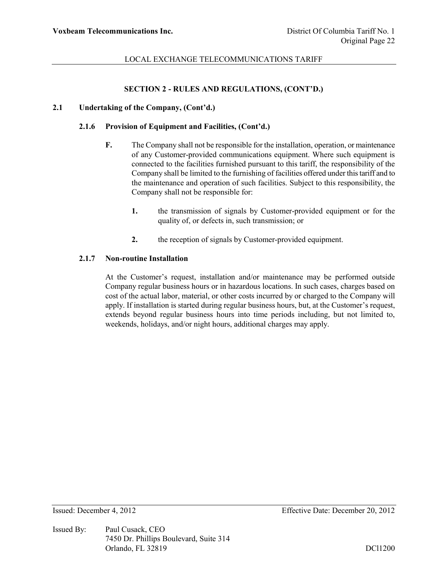## **SECTION 2 - RULES AND REGULATIONS, (CONT'D.)**

## **2.1 Undertaking of the Company, (Cont'd.)**

#### **2.1.6 Provision of Equipment and Facilities, (Cont'd.)**

- **F.** The Company shall not be responsible for the installation, operation, or maintenance of any Customer-provided communications equipment. Where such equipment is connected to the facilities furnished pursuant to this tariff, the responsibility of the Company shall be limited to the furnishing of facilities offered under this tariff and to the maintenance and operation of such facilities. Subject to this responsibility, the Company shall not be responsible for:
	- **1.** the transmission of signals by Customer-provided equipment or for the quality of, or defects in, such transmission; or
	- **2.** the reception of signals by Customer-provided equipment.

#### **2.1.7 Non-routine Installation**

At the Customer's request, installation and/or maintenance may be performed outside Company regular business hours or in hazardous locations. In such cases, charges based on cost of the actual labor, material, or other costs incurred by or charged to the Company will apply. If installation is started during regular business hours, but, at the Customer's request, extends beyond regular business hours into time periods including, but not limited to, weekends, holidays, and/or night hours, additional charges may apply.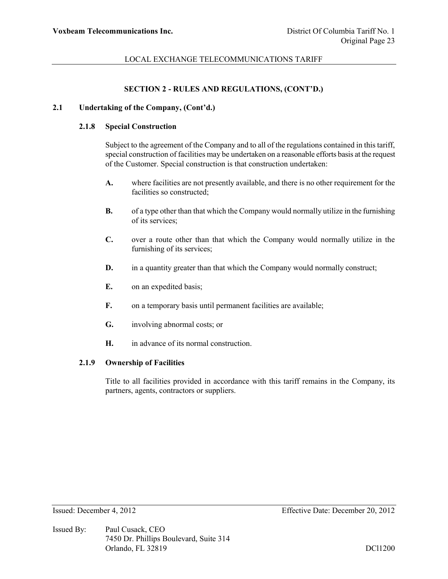#### **SECTION 2 - RULES AND REGULATIONS, (CONT'D.)**

## **2.1 Undertaking of the Company, (Cont'd.)**

# **2.1.8 Special Construction**

Subject to the agreement of the Company and to all of the regulations contained in this tariff, special construction of facilities may be undertaken on a reasonable efforts basis at the request of the Customer. Special construction is that construction undertaken:

- **A.** where facilities are not presently available, and there is no other requirement for the facilities so constructed;
- **B.** of a type other than that which the Company would normally utilize in the furnishing of its services;
- **C.** over a route other than that which the Company would normally utilize in the furnishing of its services;
- **D.** in a quantity greater than that which the Company would normally construct;
- **E.** on an expedited basis;
- **F.** on a temporary basis until permanent facilities are available;
- **G.** involving abnormal costs; or
- **H.** in advance of its normal construction.

#### **2.1.9 Ownership of Facilities**

Title to all facilities provided in accordance with this tariff remains in the Company, its partners, agents, contractors or suppliers.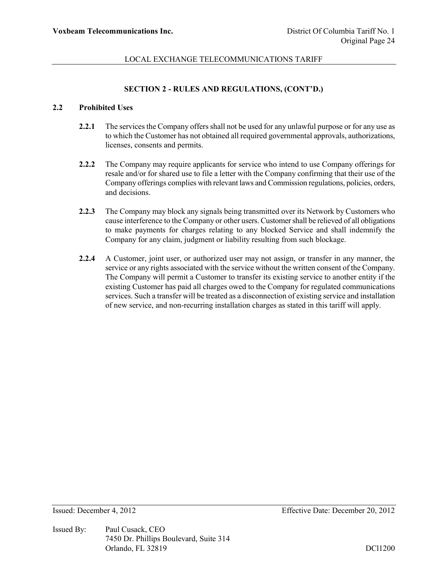# **SECTION 2 - RULES AND REGULATIONS, (CONT'D.)**

# **2.2 Prohibited Uses**

- **2.2.1** The services the Company offers shall not be used for any unlawful purpose or for any use as to which the Customer has not obtained all required governmental approvals, authorizations, licenses, consents and permits.
- **2.2.2** The Company may require applicants for service who intend to use Company offerings for resale and/or for shared use to file a letter with the Company confirming that their use of the Company offerings complies with relevant laws and Commission regulations, policies, orders, and decisions.
- **2.2.3** The Company may block any signals being transmitted over its Network by Customers who cause interference to the Company or other users. Customer shall be relieved of all obligations to make payments for charges relating to any blocked Service and shall indemnify the Company for any claim, judgment or liability resulting from such blockage.
- **2.2.4** A Customer, joint user, or authorized user may not assign, or transfer in any manner, the service or any rights associated with the service without the written consent of the Company. The Company will permit a Customer to transfer its existing service to another entity if the existing Customer has paid all charges owed to the Company for regulated communications services. Such a transfer will be treated as a disconnection of existing service and installation of new service, and non-recurring installation charges as stated in this tariff will apply.

Issued By: Paul Cusack, CEO 7450 Dr. Phillips Boulevard, Suite 314 Orlando, FL 32819 DCl1200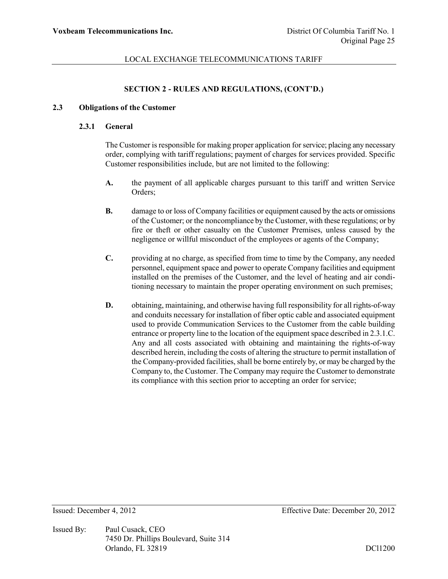# **SECTION 2 - RULES AND REGULATIONS, (CONT'D.)**

#### **2.3 Obligations of the Customer**

### **2.3.1 General**

The Customer is responsible for making proper application for service; placing any necessary order, complying with tariff regulations; payment of charges for services provided. Specific Customer responsibilities include, but are not limited to the following:

- **A.** the payment of all applicable charges pursuant to this tariff and written Service Orders;
- **B.** damage to or loss of Company facilities or equipment caused by the acts or omissions of the Customer; or the noncompliance by the Customer, with these regulations; or by fire or theft or other casualty on the Customer Premises, unless caused by the negligence or willful misconduct of the employees or agents of the Company;
- **C.** providing at no charge, as specified from time to time by the Company, any needed personnel, equipment space and power to operate Company facilities and equipment installed on the premises of the Customer, and the level of heating and air conditioning necessary to maintain the proper operating environment on such premises;
- **D.** obtaining, maintaining, and otherwise having full responsibility for all rights-of-way and conduits necessary for installation of fiber optic cable and associated equipment used to provide Communication Services to the Customer from the cable building entrance or property line to the location of the equipment space described in 2.3.1.C. Any and all costs associated with obtaining and maintaining the rights-of-way described herein, including the costs of altering the structure to permit installation of the Company-provided facilities, shall be borne entirely by, or may be charged by the Company to, the Customer. The Company may require the Customer to demonstrate its compliance with this section prior to accepting an order for service;

Issued By: Paul Cusack, CEO 7450 Dr. Phillips Boulevard, Suite 314 Orlando, FL 32819 DCl1200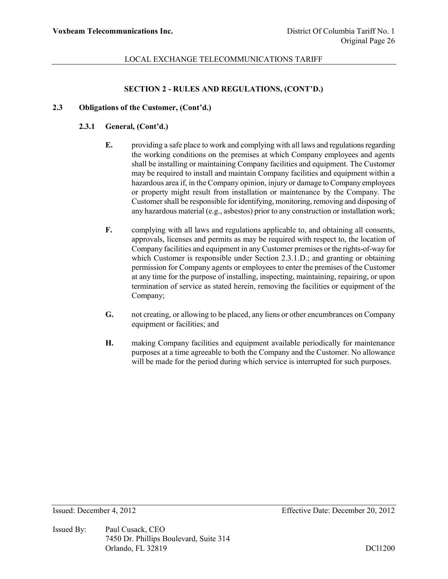# **SECTION 2 - RULES AND REGULATIONS, (CONT'D.)**

## **2.3 Obligations of the Customer, (Cont'd.)**

# **2.3.1 General, (Cont'd.)**

- **E.** providing a safe place to work and complying with all laws and regulations regarding the working conditions on the premises at which Company employees and agents shall be installing or maintaining Company facilities and equipment. The Customer may be required to install and maintain Company facilities and equipment within a hazardous area if, in the Company opinion, injury or damage to Company employees or property might result from installation or maintenance by the Company. The Customer shall be responsible for identifying, monitoring, removing and disposing of any hazardous material (e.g., asbestos) prior to any construction or installation work;
- **F.** complying with all laws and regulations applicable to, and obtaining all consents, approvals, licenses and permits as may be required with respect to, the location of Company facilities and equipment in any Customer premises or the rights-of-way for which Customer is responsible under Section 2.3.1.D.; and granting or obtaining permission for Company agents or employees to enter the premises of the Customer at any time for the purpose of installing, inspecting, maintaining, repairing, or upon termination of service as stated herein, removing the facilities or equipment of the Company;
- **G.** not creating, or allowing to be placed, any liens or other encumbrances on Company equipment or facilities; and
- **H.** making Company facilities and equipment available periodically for maintenance purposes at a time agreeable to both the Company and the Customer. No allowance will be made for the period during which service is interrupted for such purposes.

Issued By: Paul Cusack, CEO 7450 Dr. Phillips Boulevard, Suite 314 Orlando, FL 32819 DCl1200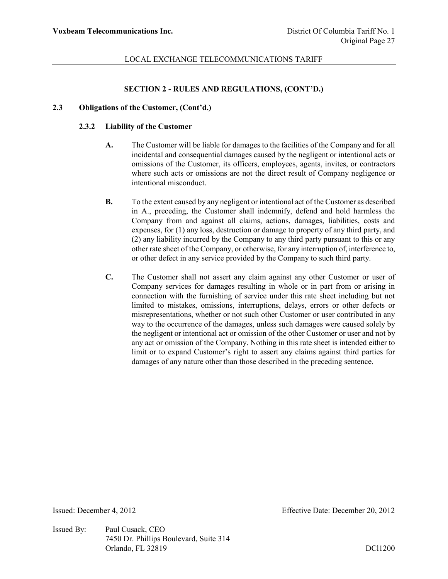## **SECTION 2 - RULES AND REGULATIONS, (CONT'D.)**

### **2.3 Obligations of the Customer, (Cont'd.)**

### **2.3.2 Liability of the Customer**

- **A.** The Customer will be liable for damages to the facilities of the Company and for all incidental and consequential damages caused by the negligent or intentional acts or omissions of the Customer, its officers, employees, agents, invites, or contractors where such acts or omissions are not the direct result of Company negligence or intentional misconduct.
- **B.** To the extent caused by any negligent or intentional act of the Customer as described in A., preceding, the Customer shall indemnify, defend and hold harmless the Company from and against all claims, actions, damages, liabilities, costs and expenses, for (1) any loss, destruction or damage to property of any third party, and (2) any liability incurred by the Company to any third party pursuant to this or any other rate sheet of the Company, or otherwise, for any interruption of, interference to, or other defect in any service provided by the Company to such third party.
- **C.** The Customer shall not assert any claim against any other Customer or user of Company services for damages resulting in whole or in part from or arising in connection with the furnishing of service under this rate sheet including but not limited to mistakes, omissions, interruptions, delays, errors or other defects or misrepresentations, whether or not such other Customer or user contributed in any way to the occurrence of the damages, unless such damages were caused solely by the negligent or intentional act or omission of the other Customer or user and not by any act or omission of the Company. Nothing in this rate sheet is intended either to limit or to expand Customer's right to assert any claims against third parties for damages of any nature other than those described in the preceding sentence.

Issued By: Paul Cusack, CEO 7450 Dr. Phillips Boulevard, Suite 314 Orlando, FL 32819 DCl1200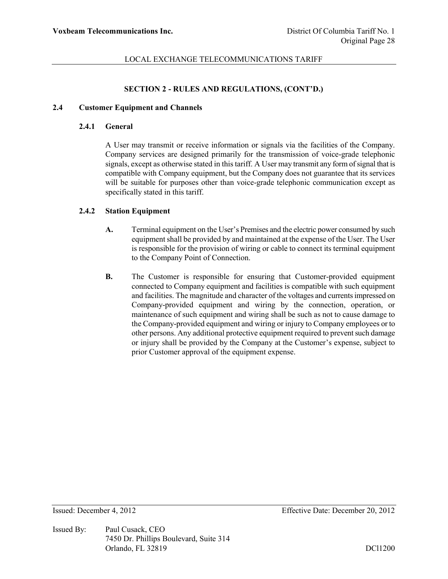#### **SECTION 2 - RULES AND REGULATIONS, (CONT'D.)**

# **2.4 Customer Equipment and Channels**

#### **2.4.1 General**

A User may transmit or receive information or signals via the facilities of the Company. Company services are designed primarily for the transmission of voice-grade telephonic signals, except as otherwise stated in this tariff. A User may transmit any form of signal that is compatible with Company equipment, but the Company does not guarantee that its services will be suitable for purposes other than voice-grade telephonic communication except as specifically stated in this tariff.

# **2.4.2 Station Equipment**

- **A.** Terminal equipment on the User's Premises and the electric power consumed by such equipment shall be provided by and maintained at the expense of the User. The User is responsible for the provision of wiring or cable to connect its terminal equipment to the Company Point of Connection.
- **B.** The Customer is responsible for ensuring that Customer-provided equipment connected to Company equipment and facilities is compatible with such equipment and facilities. The magnitude and character of the voltages and currents impressed on Company-provided equipment and wiring by the connection, operation, or maintenance of such equipment and wiring shall be such as not to cause damage to the Company-provided equipment and wiring or injury to Company employees or to other persons. Any additional protective equipment required to prevent such damage or injury shall be provided by the Company at the Customer's expense, subject to prior Customer approval of the equipment expense.

Issued By: Paul Cusack, CEO 7450 Dr. Phillips Boulevard, Suite 314 Orlando, FL 32819 DCl1200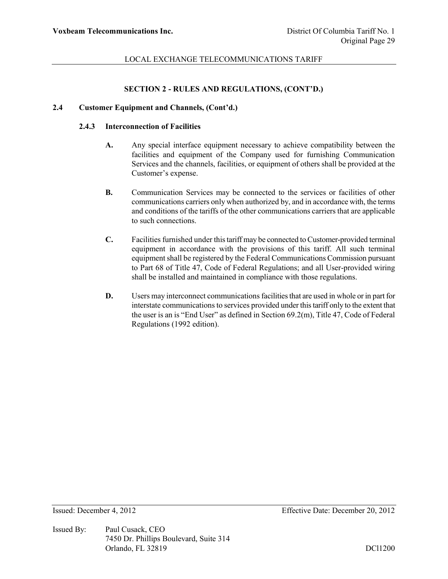#### **SECTION 2 - RULES AND REGULATIONS, (CONT'D.)**

# **2.4 Customer Equipment and Channels, (Cont'd.)**

#### **2.4.3 Interconnection of Facilities**

- **A.** Any special interface equipment necessary to achieve compatibility between the facilities and equipment of the Company used for furnishing Communication Services and the channels, facilities, or equipment of others shall be provided at the Customer's expense.
- **B.** Communication Services may be connected to the services or facilities of other communications carriers only when authorized by, and in accordance with, the terms and conditions of the tariffs of the other communications carriers that are applicable to such connections.
- **C.** Facilities furnished under this tariff may be connected to Customer-provided terminal equipment in accordance with the provisions of this tariff. All such terminal equipment shall be registered by the Federal Communications Commission pursuant to Part 68 of Title 47, Code of Federal Regulations; and all User-provided wiring shall be installed and maintained in compliance with those regulations.
- **D.** Users may interconnect communications facilities that are used in whole or in part for interstate communications to services provided under this tariff only to the extent that the user is an is "End User" as defined in Section 69.2(m), Title 47, Code of Federal Regulations (1992 edition).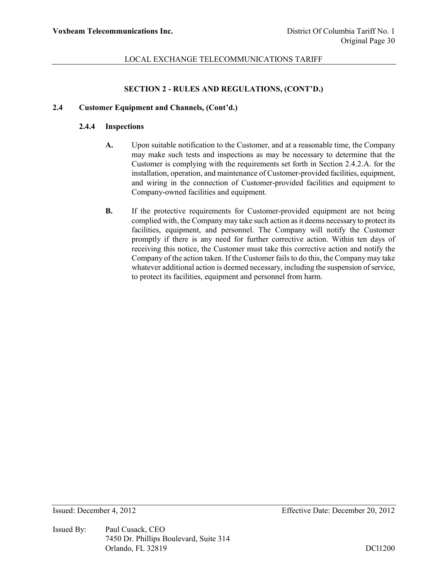#### **SECTION 2 - RULES AND REGULATIONS, (CONT'D.)**

# **2.4 Customer Equipment and Channels, (Cont'd.)**

#### **2.4.4 Inspections**

- **A.** Upon suitable notification to the Customer, and at a reasonable time, the Company may make such tests and inspections as may be necessary to determine that the Customer is complying with the requirements set forth in Section 2.4.2.A. for the installation, operation, and maintenance of Customer-provided facilities, equipment, and wiring in the connection of Customer-provided facilities and equipment to Company-owned facilities and equipment.
- **B.** If the protective requirements for Customer-provided equipment are not being complied with, the Company may take such action as it deems necessary to protect its facilities, equipment, and personnel. The Company will notify the Customer promptly if there is any need for further corrective action. Within ten days of receiving this notice, the Customer must take this corrective action and notify the Company of the action taken. If the Customer fails to do this, the Company may take whatever additional action is deemed necessary, including the suspension of service, to protect its facilities, equipment and personnel from harm.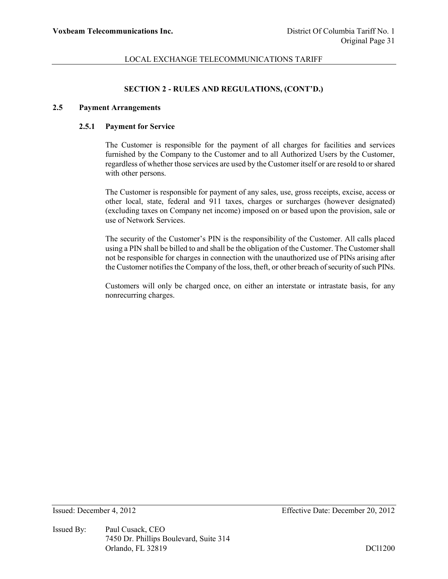# **SECTION 2 - RULES AND REGULATIONS, (CONT'D.)**

#### **2.5 Payment Arrangements**

#### **2.5.1 Payment for Service**

The Customer is responsible for the payment of all charges for facilities and services furnished by the Company to the Customer and to all Authorized Users by the Customer, regardless of whether those services are used by the Customer itself or are resold to or shared with other persons.

The Customer is responsible for payment of any sales, use, gross receipts, excise, access or other local, state, federal and 911 taxes, charges or surcharges (however designated) (excluding taxes on Company net income) imposed on or based upon the provision, sale or use of Network Services.

The security of the Customer's PIN is the responsibility of the Customer. All calls placed using a PIN shall be billed to and shall be the obligation of the Customer. The Customer shall not be responsible for charges in connection with the unauthorized use of PINs arising after the Customer notifies the Company of the loss, theft, or other breach of security of such PINs.

Customers will only be charged once, on either an interstate or intrastate basis, for any nonrecurring charges.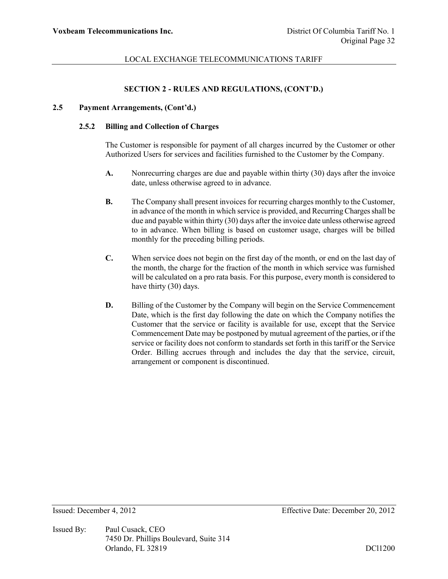# **SECTION 2 - RULES AND REGULATIONS, (CONT'D.)**

## **2.5 Payment Arrangements, (Cont'd.)**

# **2.5.2 Billing and Collection of Charges**

The Customer is responsible for payment of all charges incurred by the Customer or other Authorized Users for services and facilities furnished to the Customer by the Company.

- **A.** Nonrecurring charges are due and payable within thirty (30) days after the invoice date, unless otherwise agreed to in advance.
- **B.** The Company shall present invoices for recurring charges monthly to the Customer, in advance of the month in which service is provided, and Recurring Charges shall be due and payable within thirty (30) days after the invoice date unless otherwise agreed to in advance. When billing is based on customer usage, charges will be billed monthly for the preceding billing periods.
- **C.** When service does not begin on the first day of the month, or end on the last day of the month, the charge for the fraction of the month in which service was furnished will be calculated on a pro rata basis. For this purpose, every month is considered to have thirty (30) days.
- **D.** Billing of the Customer by the Company will begin on the Service Commencement Date, which is the first day following the date on which the Company notifies the Customer that the service or facility is available for use, except that the Service Commencement Date may be postponed by mutual agreement of the parties, or if the service or facility does not conform to standards set forth in this tariff or the Service Order. Billing accrues through and includes the day that the service, circuit, arrangement or component is discontinued.

Issued By: Paul Cusack, CEO 7450 Dr. Phillips Boulevard, Suite 314 Orlando, FL 32819 DCl1200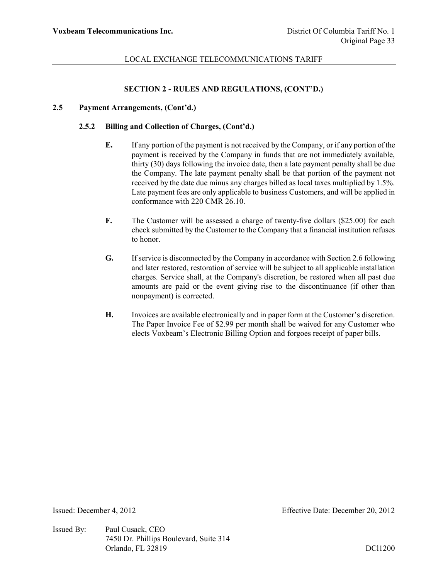## **SECTION 2 - RULES AND REGULATIONS, (CONT'D.)**

## **2.5 Payment Arrangements, (Cont'd.)**

### **2.5.2 Billing and Collection of Charges, (Cont'd.)**

- **E.** If any portion of the payment is not received by the Company, or if any portion of the payment is received by the Company in funds that are not immediately available, thirty (30) days following the invoice date, then a late payment penalty shall be due the Company. The late payment penalty shall be that portion of the payment not received by the date due minus any charges billed as local taxes multiplied by 1.5%. Late payment fees are only applicable to business Customers, and will be applied in conformance with 220 CMR 26.10.
- **F.** The Customer will be assessed a charge of twenty-five dollars (\$25.00) for each check submitted by the Customer to the Company that a financial institution refuses to honor.
- **G.** If service is disconnected by the Company in accordance with Section 2.6 following and later restored, restoration of service will be subject to all applicable installation charges. Service shall, at the Company's discretion, be restored when all past due amounts are paid or the event giving rise to the discontinuance (if other than nonpayment) is corrected.
- **H.** Invoices are available electronically and in paper form at the Customer's discretion. The Paper Invoice Fee of \$2.99 per month shall be waived for any Customer who elects Voxbeam's Electronic Billing Option and forgoes receipt of paper bills.

Issued By: Paul Cusack, CEO 7450 Dr. Phillips Boulevard, Suite 314 Orlando, FL 32819 DCl1200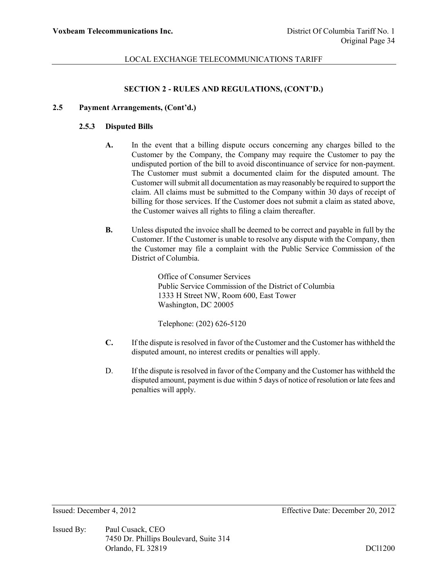#### **SECTION 2 - RULES AND REGULATIONS, (CONT'D.)**

#### **2.5 Payment Arrangements, (Cont'd.)**

### **2.5.3 Disputed Bills**

- **A.** In the event that a billing dispute occurs concerning any charges billed to the Customer by the Company, the Company may require the Customer to pay the undisputed portion of the bill to avoid discontinuance of service for non-payment. The Customer must submit a documented claim for the disputed amount. The Customer will submit all documentation as may reasonably be required to support the claim. All claims must be submitted to the Company within 30 days of receipt of billing for those services. If the Customer does not submit a claim as stated above, the Customer waives all rights to filing a claim thereafter.
- **B.** Unless disputed the invoice shall be deemed to be correct and payable in full by the Customer. If the Customer is unable to resolve any dispute with the Company, then the Customer may file a complaint with the Public Service Commission of the District of Columbia.

Office of Consumer Services Public Service Commission of the District of Columbia 1333 H Street NW, Room 600, East Tower Washington, DC 20005

Telephone: (202) 626-5120

- **C.** If the dispute is resolved in favor of the Customer and the Customer has withheld the disputed amount, no interest credits or penalties will apply.
- D. If the dispute is resolved in favor of the Company and the Customer has withheld the disputed amount, payment is due within 5 days of notice of resolution or late fees and penalties will apply.

Issued By: Paul Cusack, CEO 7450 Dr. Phillips Boulevard, Suite 314 Orlando, FL 32819 DCl1200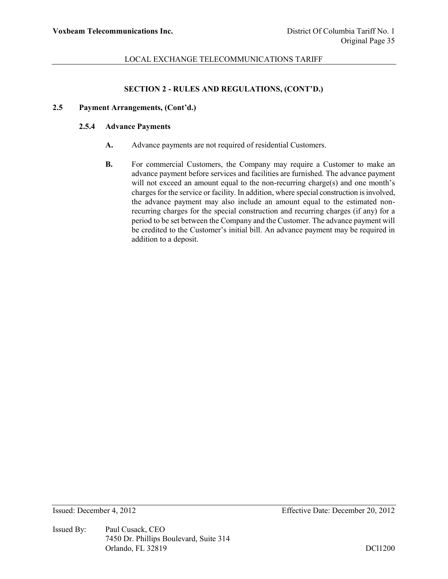# **SECTION 2 - RULES AND REGULATIONS, (CONT'D.)**

# **2.5 Payment Arrangements, (Cont'd.)**

#### **2.5.4 Advance Payments**

- **A.** Advance payments are not required of residential Customers.
- **B.** For commercial Customers, the Company may require a Customer to make an advance payment before services and facilities are furnished. The advance payment will not exceed an amount equal to the non-recurring charge(s) and one month's charges for the service or facility. In addition, where special construction is involved, the advance payment may also include an amount equal to the estimated nonrecurring charges for the special construction and recurring charges (if any) for a period to be set between the Company and the Customer. The advance payment will be credited to the Customer's initial bill. An advance payment may be required in addition to a deposit.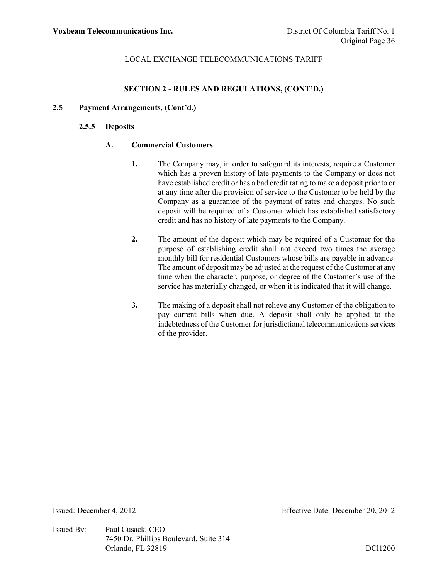# **SECTION 2 - RULES AND REGULATIONS, (CONT'D.)**

# **2.5 Payment Arrangements, (Cont'd.)**

### **2.5.5 Deposits**

# **A. Commercial Customers**

- **1.** The Company may, in order to safeguard its interests, require a Customer which has a proven history of late payments to the Company or does not have established credit or has a bad credit rating to make a deposit prior to or at any time after the provision of service to the Customer to be held by the Company as a guarantee of the payment of rates and charges. No such deposit will be required of a Customer which has established satisfactory credit and has no history of late payments to the Company.
- **2.** The amount of the deposit which may be required of a Customer for the purpose of establishing credit shall not exceed two times the average monthly bill for residential Customers whose bills are payable in advance. The amount of deposit may be adjusted at the request of the Customer at any time when the character, purpose, or degree of the Customer's use of the service has materially changed, or when it is indicated that it will change.
- **3.** The making of a deposit shall not relieve any Customer of the obligation to pay current bills when due. A deposit shall only be applied to the indebtedness of the Customer for jurisdictional telecommunications services of the provider.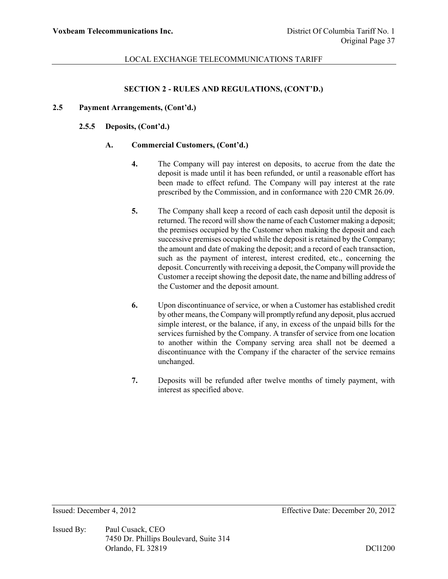# **SECTION 2 - RULES AND REGULATIONS, (CONT'D.)**

# **2.5 Payment Arrangements, (Cont'd.)**

### **2.5.5 Deposits, (Cont'd.)**

# **A. Commercial Customers, (Cont'd.)**

- **4.** The Company will pay interest on deposits, to accrue from the date the deposit is made until it has been refunded, or until a reasonable effort has been made to effect refund. The Company will pay interest at the rate prescribed by the Commission, and in conformance with 220 CMR 26.09.
- **5.** The Company shall keep a record of each cash deposit until the deposit is returned. The record will show the name of each Customer making a deposit; the premises occupied by the Customer when making the deposit and each successive premises occupied while the deposit is retained by the Company; the amount and date of making the deposit; and a record of each transaction, such as the payment of interest, interest credited, etc., concerning the deposit. Concurrently with receiving a deposit, the Company will provide the Customer a receipt showing the deposit date, the name and billing address of the Customer and the deposit amount.
- **6.** Upon discontinuance of service, or when a Customer has established credit by other means, the Company will promptly refund any deposit, plus accrued simple interest, or the balance, if any, in excess of the unpaid bills for the services furnished by the Company. A transfer of service from one location to another within the Company serving area shall not be deemed a discontinuance with the Company if the character of the service remains unchanged.
- **7.** Deposits will be refunded after twelve months of timely payment, with interest as specified above.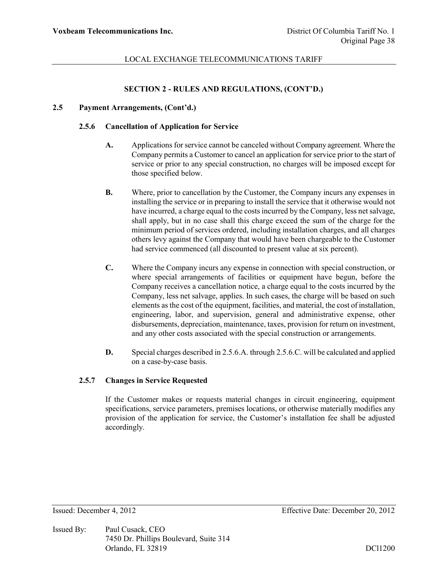# **SECTION 2 - RULES AND REGULATIONS, (CONT'D.)**

# **2.5 Payment Arrangements, (Cont'd.)**

#### **2.5.6 Cancellation of Application for Service**

- **A.** Applications for service cannot be canceled without Company agreement. Where the Company permits a Customer to cancel an application for service prior to the start of service or prior to any special construction, no charges will be imposed except for those specified below.
- **B.** Where, prior to cancellation by the Customer, the Company incurs any expenses in installing the service or in preparing to install the service that it otherwise would not have incurred, a charge equal to the costs incurred by the Company, less net salvage, shall apply, but in no case shall this charge exceed the sum of the charge for the minimum period of services ordered, including installation charges, and all charges others levy against the Company that would have been chargeable to the Customer had service commenced (all discounted to present value at six percent).
- **C.** Where the Company incurs any expense in connection with special construction, or where special arrangements of facilities or equipment have begun, before the Company receives a cancellation notice, a charge equal to the costs incurred by the Company, less net salvage, applies. In such cases, the charge will be based on such elements as the cost of the equipment, facilities, and material, the cost of installation, engineering, labor, and supervision, general and administrative expense, other disbursements, depreciation, maintenance, taxes, provision for return on investment, and any other costs associated with the special construction or arrangements.
- **D.** Special charges described in 2.5.6.A. through 2.5.6.C. will be calculated and applied on a case-by-case basis.

#### **2.5.7 Changes in Service Requested**

If the Customer makes or requests material changes in circuit engineering, equipment specifications, service parameters, premises locations, or otherwise materially modifies any provision of the application for service, the Customer's installation fee shall be adjusted accordingly.

Issued By: Paul Cusack, CEO 7450 Dr. Phillips Boulevard, Suite 314 Orlando, FL 32819 DCl1200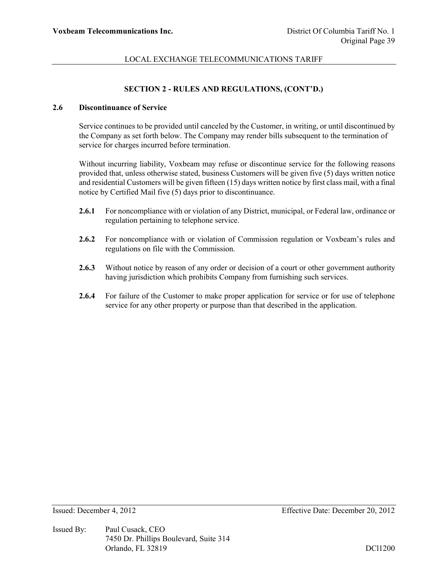# **SECTION 2 - RULES AND REGULATIONS, (CONT'D.)**

### **2.6 Discontinuance of Service**

Service continues to be provided until canceled by the Customer, in writing, or until discontinued by the Company as set forth below. The Company may render bills subsequent to the termination of service for charges incurred before termination.

Without incurring liability, Voxbeam may refuse or discontinue service for the following reasons provided that, unless otherwise stated, business Customers will be given five (5) days written notice and residential Customers will be given fifteen (15) days written notice by first class mail, with a final notice by Certified Mail five (5) days prior to discontinuance.

- **2.6.1** For noncompliance with or violation of any District, municipal, or Federal law, ordinance or regulation pertaining to telephone service.
- **2.6.2** For noncompliance with or violation of Commission regulation or Voxbeam's rules and regulations on file with the Commission.
- **2.6.3** Without notice by reason of any order or decision of a court or other government authority having jurisdiction which prohibits Company from furnishing such services.
- **2.6.4** For failure of the Customer to make proper application for service or for use of telephone service for any other property or purpose than that described in the application.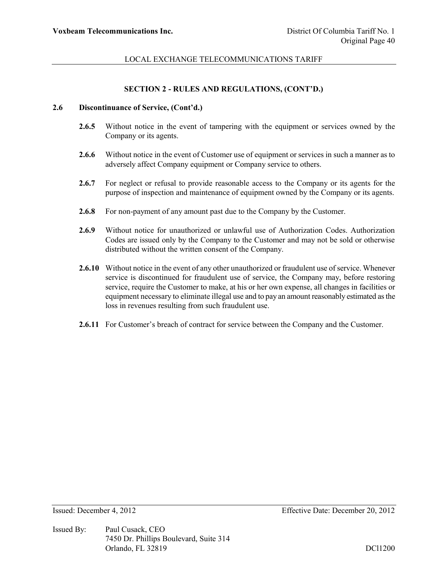# **SECTION 2 - RULES AND REGULATIONS, (CONT'D.)**

# **2.6 Discontinuance of Service, (Cont'd.)**

- **2.6.5** Without notice in the event of tampering with the equipment or services owned by the Company or its agents.
- **2.6.6** Without notice in the event of Customer use of equipment or services in such a manner as to adversely affect Company equipment or Company service to others.
- **2.6.7** For neglect or refusal to provide reasonable access to the Company or its agents for the purpose of inspection and maintenance of equipment owned by the Company or its agents.
- **2.6.8** For non-payment of any amount past due to the Company by the Customer.
- **2.6.9** Without notice for unauthorized or unlawful use of Authorization Codes. Authorization Codes are issued only by the Company to the Customer and may not be sold or otherwise distributed without the written consent of the Company.
- **2.6.10** Without notice in the event of any other unauthorized or fraudulent use of service. Whenever service is discontinued for fraudulent use of service, the Company may, before restoring service, require the Customer to make, at his or her own expense, all changes in facilities or equipment necessary to eliminate illegal use and to pay an amount reasonably estimated as the loss in revenues resulting from such fraudulent use.
- **2.6.11** For Customer's breach of contract for service between the Company and the Customer.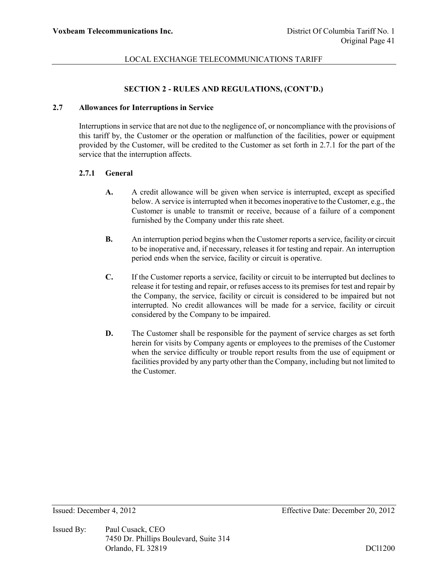### **SECTION 2 - RULES AND REGULATIONS, (CONT'D.)**

## **2.7 Allowances for Interruptions in Service**

Interruptions in service that are not due to the negligence of, or noncompliance with the provisions of this tariff by, the Customer or the operation or malfunction of the facilities, power or equipment provided by the Customer, will be credited to the Customer as set forth in 2.7.1 for the part of the service that the interruption affects.

## **2.7.1 General**

- **A.** A credit allowance will be given when service is interrupted, except as specified below. A service is interrupted when it becomes inoperative to the Customer, e.g., the Customer is unable to transmit or receive, because of a failure of a component furnished by the Company under this rate sheet.
- **B.** An interruption period begins when the Customer reports a service, facility or circuit to be inoperative and, if necessary, releases it for testing and repair. An interruption period ends when the service, facility or circuit is operative.
- **C.** If the Customer reports a service, facility or circuit to be interrupted but declines to release it for testing and repair, or refuses access to its premises for test and repair by the Company, the service, facility or circuit is considered to be impaired but not interrupted. No credit allowances will be made for a service, facility or circuit considered by the Company to be impaired.
- **D.** The Customer shall be responsible for the payment of service charges as set forth herein for visits by Company agents or employees to the premises of the Customer when the service difficulty or trouble report results from the use of equipment or facilities provided by any party other than the Company, including but not limited to the Customer.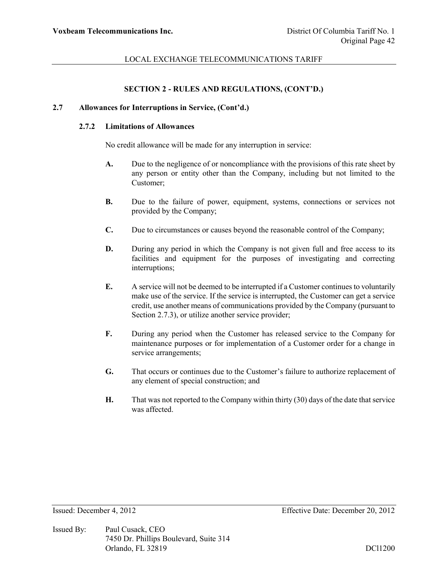### **SECTION 2 - RULES AND REGULATIONS, (CONT'D.)**

#### **2.7 Allowances for Interruptions in Service, (Cont'd.)**

#### **2.7.2 Limitations of Allowances**

No credit allowance will be made for any interruption in service:

- **A.** Due to the negligence of or noncompliance with the provisions of this rate sheet by any person or entity other than the Company, including but not limited to the Customer;
- **B.** Due to the failure of power, equipment, systems, connections or services not provided by the Company;
- **C.** Due to circumstances or causes beyond the reasonable control of the Company;
- **D.** During any period in which the Company is not given full and free access to its facilities and equipment for the purposes of investigating and correcting interruptions;
- **E.** A service will not be deemed to be interrupted if a Customer continues to voluntarily make use of the service. If the service is interrupted, the Customer can get a service credit, use another means of communications provided by the Company (pursuant to Section 2.7.3), or utilize another service provider;
- **F.** During any period when the Customer has released service to the Company for maintenance purposes or for implementation of a Customer order for a change in service arrangements;
- **G.** That occurs or continues due to the Customer's failure to authorize replacement of any element of special construction; and
- **H.** That was not reported to the Company within thirty (30) days of the date that service was affected.

Issued By: Paul Cusack, CEO 7450 Dr. Phillips Boulevard, Suite 314 Orlando, FL 32819 DCl1200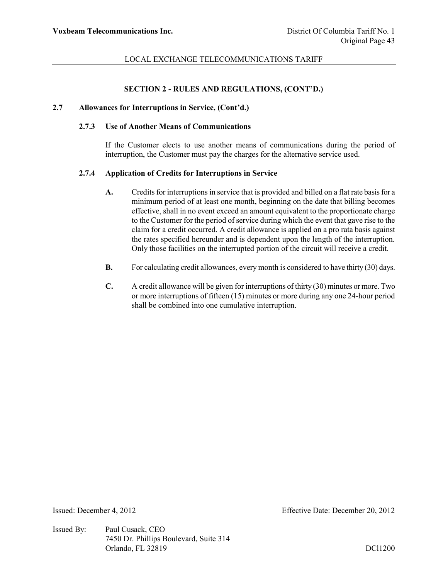### **SECTION 2 - RULES AND REGULATIONS, (CONT'D.)**

#### **2.7 Allowances for Interruptions in Service, (Cont'd.)**

# **2.7.3 Use of Another Means of Communications**

If the Customer elects to use another means of communications during the period of interruption, the Customer must pay the charges for the alternative service used.

#### **2.7.4 Application of Credits for Interruptions in Service**

- **A.** Credits for interruptions in service that is provided and billed on a flat rate basis for a minimum period of at least one month, beginning on the date that billing becomes effective, shall in no event exceed an amount equivalent to the proportionate charge to the Customer for the period of service during which the event that gave rise to the claim for a credit occurred. A credit allowance is applied on a pro rata basis against the rates specified hereunder and is dependent upon the length of the interruption. Only those facilities on the interrupted portion of the circuit will receive a credit.
- **B.** For calculating credit allowances, every month is considered to have thirty (30) days.
- **C.** A credit allowance will be given for interruptions of thirty (30) minutes or more. Two or more interruptions of fifteen (15) minutes or more during any one 24-hour period shall be combined into one cumulative interruption.

Issued By: Paul Cusack, CEO 7450 Dr. Phillips Boulevard, Suite 314 Orlando, FL 32819 DCl1200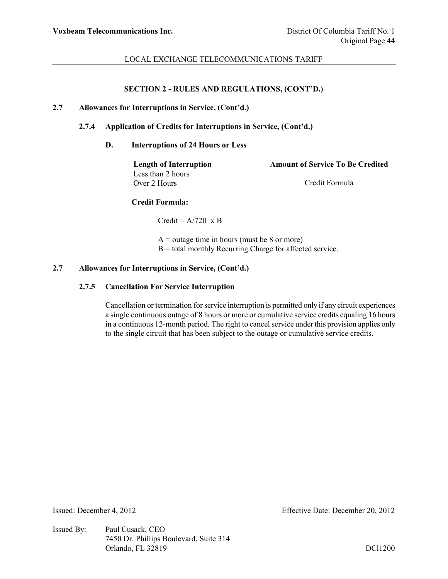# **SECTION 2 - RULES AND REGULATIONS, (CONT'D.)**

### **2.7 Allowances for Interruptions in Service, (Cont'd.)**

# **2.7.4 Application of Credits for Interruptions in Service, (Cont'd.)**

### **D. Interruptions of 24 Hours or Less**

Less than 2 hours Over 2 Hours Credit Formula

**Length of Interruption Amount of Service To Be Credited**

# **Credit Formula:**

Credit =  $A/720 \times B$ 

 $A =$  outage time in hours (must be 8 or more) B = total monthly Recurring Charge for affected service.

### **2.7 Allowances for Interruptions in Service, (Cont'd.)**

#### **2.7.5 Cancellation For Service Interruption**

Cancellation or termination for service interruption is permitted only if any circuit experiences a single continuous outage of 8 hours or more or cumulative service credits equaling 16 hours in a continuous 12-month period. The right to cancel service under this provision applies only to the single circuit that has been subject to the outage or cumulative service credits.

Issued By: Paul Cusack, CEO 7450 Dr. Phillips Boulevard, Suite 314 Orlando, FL 32819 DCl1200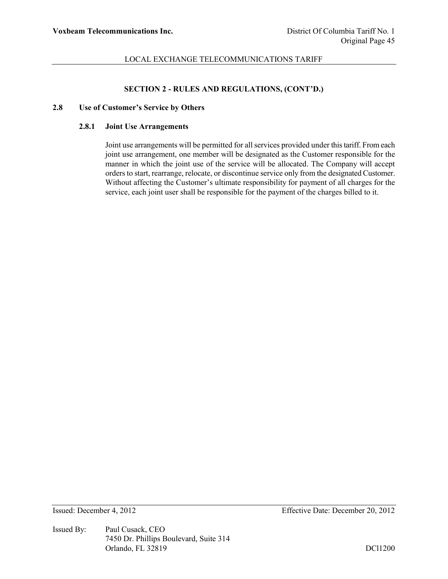### **SECTION 2 - RULES AND REGULATIONS, (CONT'D.)**

### **2.8 Use of Customer's Service by Others**

# **2.8.1 Joint Use Arrangements**

Joint use arrangements will be permitted for all services provided under this tariff. From each joint use arrangement, one member will be designated as the Customer responsible for the manner in which the joint use of the service will be allocated. The Company will accept orders to start, rearrange, relocate, or discontinue service only from the designated Customer. Without affecting the Customer's ultimate responsibility for payment of all charges for the service, each joint user shall be responsible for the payment of the charges billed to it.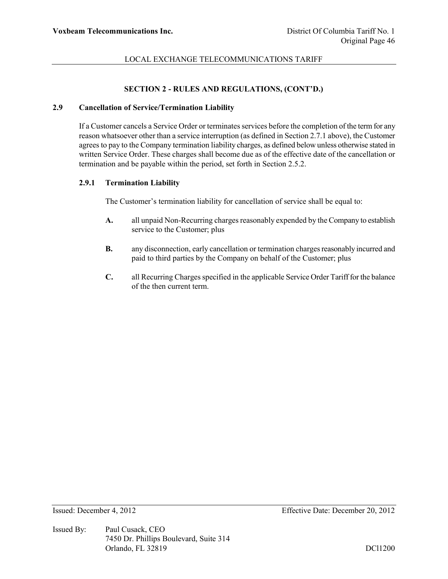### **SECTION 2 - RULES AND REGULATIONS, (CONT'D.)**

#### **2.9 Cancellation of Service/Termination Liability**

If a Customer cancels a Service Order or terminates services before the completion of the term for any reason whatsoever other than a service interruption (as defined in Section 2.7.1 above), the Customer agrees to pay to the Company termination liability charges, as defined below unless otherwise stated in written Service Order. These charges shall become due as of the effective date of the cancellation or termination and be payable within the period, set forth in Section 2.5.2.

#### **2.9.1 Termination Liability**

The Customer's termination liability for cancellation of service shall be equal to:

- **A.** all unpaid Non-Recurring charges reasonably expended by the Company to establish service to the Customer; plus
- **B.** any disconnection, early cancellation or termination charges reasonably incurred and paid to third parties by the Company on behalf of the Customer; plus
- **C.** all Recurring Charges specified in the applicable Service Order Tariff for the balance of the then current term.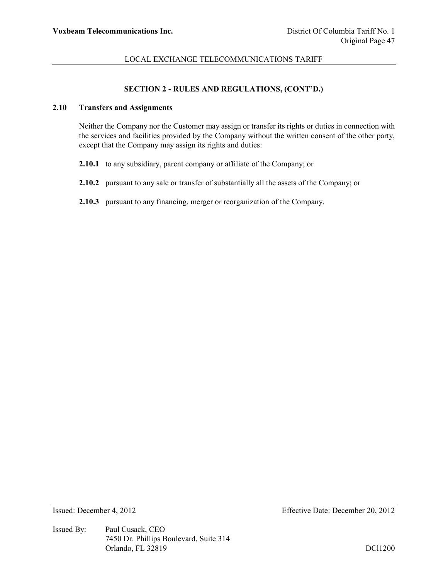# **SECTION 2 - RULES AND REGULATIONS, (CONT'D.)**

# **2.10 Transfers and Assignments**

Neither the Company nor the Customer may assign or transfer its rights or duties in connection with the services and facilities provided by the Company without the written consent of the other party, except that the Company may assign its rights and duties:

- **2.10.1** to any subsidiary, parent company or affiliate of the Company; or
- **2.10.2** pursuant to any sale or transfer of substantially all the assets of the Company; or
- **2.10.3** pursuant to any financing, merger or reorganization of the Company.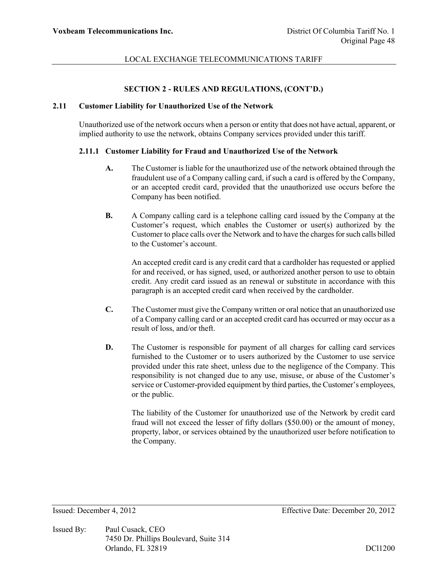# **SECTION 2 - RULES AND REGULATIONS, (CONT'D.)**

# **2.11 Customer Liability for Unauthorized Use of the Network**

Unauthorized use of the network occurs when a person or entity that does not have actual, apparent, or implied authority to use the network, obtains Company services provided under this tariff.

# **2.11.1 Customer Liability for Fraud and Unauthorized Use of the Network**

- **A.** The Customer is liable for the unauthorized use of the network obtained through the fraudulent use of a Company calling card, if such a card is offered by the Company, or an accepted credit card, provided that the unauthorized use occurs before the Company has been notified.
- **B.** A Company calling card is a telephone calling card issued by the Company at the Customer's request, which enables the Customer or user(s) authorized by the Customer to place calls over the Network and to have the charges for such calls billed to the Customer's account.

An accepted credit card is any credit card that a cardholder has requested or applied for and received, or has signed, used, or authorized another person to use to obtain credit. Any credit card issued as an renewal or substitute in accordance with this paragraph is an accepted credit card when received by the cardholder.

- **C.** The Customer must give the Company written or oral notice that an unauthorized use of a Company calling card or an accepted credit card has occurred or may occur as a result of loss, and/or theft.
- **D.** The Customer is responsible for payment of all charges for calling card services furnished to the Customer or to users authorized by the Customer to use service provided under this rate sheet, unless due to the negligence of the Company. This responsibility is not changed due to any use, misuse, or abuse of the Customer's service or Customer-provided equipment by third parties, the Customer's employees, or the public.

The liability of the Customer for unauthorized use of the Network by credit card fraud will not exceed the lesser of fifty dollars (\$50.00) or the amount of money, property, labor, or services obtained by the unauthorized user before notification to the Company.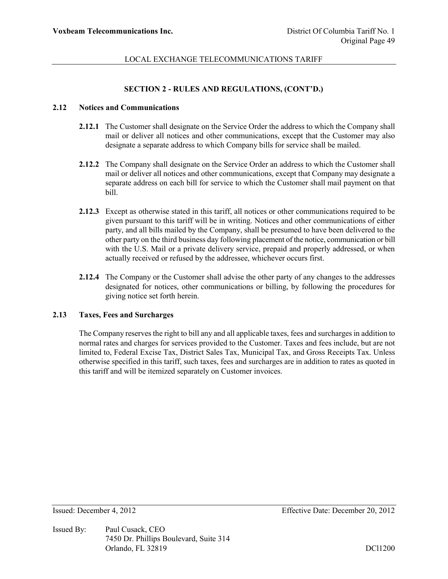# **SECTION 2 - RULES AND REGULATIONS, (CONT'D.)**

#### **2.12 Notices and Communications**

- **2.12.1** The Customer shall designate on the Service Order the address to which the Company shall mail or deliver all notices and other communications, except that the Customer may also designate a separate address to which Company bills for service shall be mailed.
- **2.12.2** The Company shall designate on the Service Order an address to which the Customer shall mail or deliver all notices and other communications, except that Company may designate a separate address on each bill for service to which the Customer shall mail payment on that bill.
- **2.12.3** Except as otherwise stated in this tariff, all notices or other communications required to be given pursuant to this tariff will be in writing. Notices and other communications of either party, and all bills mailed by the Company, shall be presumed to have been delivered to the other party on the third business day following placement of the notice, communication or bill with the U.S. Mail or a private delivery service, prepaid and properly addressed, or when actually received or refused by the addressee, whichever occurs first.
- **2.12.4** The Company or the Customer shall advise the other party of any changes to the addresses designated for notices, other communications or billing, by following the procedures for giving notice set forth herein.

# **2.13 Taxes, Fees and Surcharges**

The Company reserves the right to bill any and all applicable taxes, fees and surcharges in addition to normal rates and charges for services provided to the Customer. Taxes and fees include, but are not limited to, Federal Excise Tax, District Sales Tax, Municipal Tax, and Gross Receipts Tax. Unless otherwise specified in this tariff, such taxes, fees and surcharges are in addition to rates as quoted in this tariff and will be itemized separately on Customer invoices.

Issued By: Paul Cusack, CEO 7450 Dr. Phillips Boulevard, Suite 314 Orlando, FL 32819 DCl1200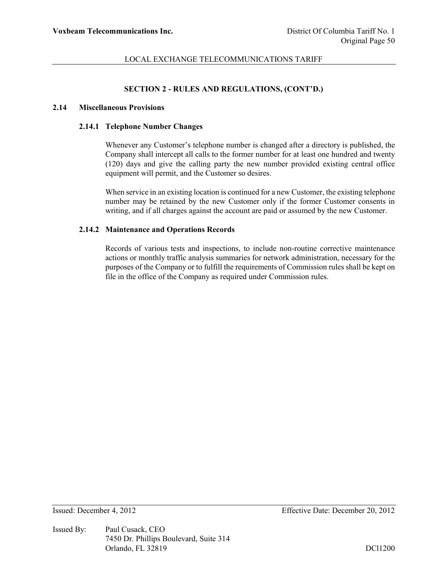# **SECTION 2 - RULES AND REGULATIONS, (CONT'D.)**

#### **2.14 Miscellaneous Provisions**

### **2.14.1 Telephone Number Changes**

Whenever any Customer's telephone number is changed after a directory is published, the Company shall intercept all calls to the former number for at least one hundred and twenty (120) days and give the calling party the new number provided existing central office equipment will permit, and the Customer so desires.

When service in an existing location is continued for a new Customer, the existing telephone number may be retained by the new Customer only if the former Customer consents in writing, and if all charges against the account are paid or assumed by the new Customer.

### **2.14.2 Maintenance and Operations Records**

Records of various tests and inspections, to include non-routine corrective maintenance actions or monthly traffic analysis summaries for network administration, necessary for the purposes of the Company or to fulfill the requirements of Commission rules shall be kept on file in the office of the Company as required under Commission rules.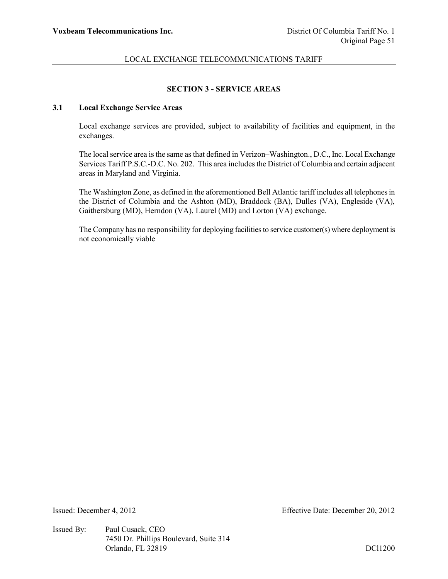# **SECTION 3 - SERVICE AREAS**

# **3.1 Local Exchange Service Areas**

Local exchange services are provided, subject to availability of facilities and equipment, in the exchanges.

The local service area is the same as that defined in Verizon–Washington., D.C., Inc. Local Exchange Services Tariff P.S.C.-D.C. No. 202. This area includes the District of Columbia and certain adjacent areas in Maryland and Virginia.

The Washington Zone, as defined in the aforementioned Bell Atlantic tariff includes all telephones in the District of Columbia and the Ashton (MD), Braddock (BA), Dulles (VA), Engleside (VA), Gaithersburg (MD), Herndon (VA), Laurel (MD) and Lorton (VA) exchange.

The Company has no responsibility for deploying facilities to service customer(s) where deployment is not economically viable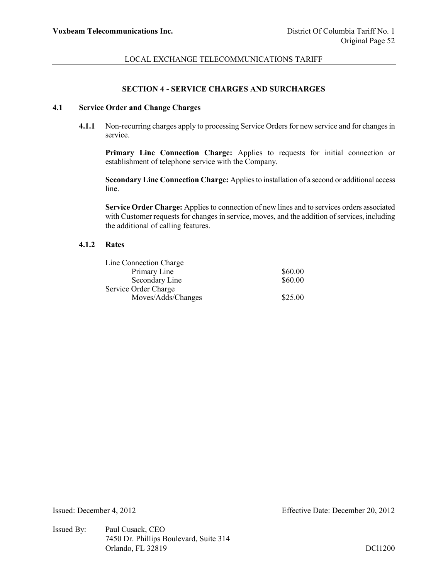### **SECTION 4 - SERVICE CHARGES AND SURCHARGES**

# **4.1 Service Order and Change Charges**

**4.1.1** Non-recurring charges apply to processing Service Orders for new service and for changes in service.

**Primary Line Connection Charge:** Applies to requests for initial connection or establishment of telephone service with the Company.

**Secondary Line Connection Charge:** Applies to installation of a second or additional access line.

**Service Order Charge:** Applies to connection of new lines and to services orders associated with Customer requests for changes in service, moves, and the addition of services, including the additional of calling features.

#### **4.1.2 Rates**

| Line Connection Charge |         |
|------------------------|---------|
| Primary Line           | \$60.00 |
| Secondary Line         | \$60.00 |
| Service Order Charge   |         |
| Moves/Adds/Changes     | \$25.00 |

Issued By: Paul Cusack, CEO 7450 Dr. Phillips Boulevard, Suite 314 Orlando, FL 32819 DCl1200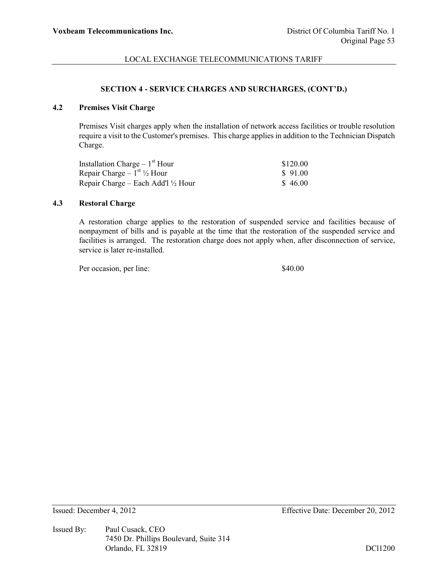### **SECTION 4 - SERVICE CHARGES AND SURCHARGES, (CONT'D.)**

# **4.2 Premises Visit Charge**

Premises Visit charges apply when the installation of network access facilities or trouble resolution require a visit to the Customer's premises. This charge applies in addition to the Technician Dispatch Charge.

| Installation Charge $-1st$ Hour               | \$120.00 |
|-----------------------------------------------|----------|
| Repair Charge $-1^{st}$ 1/2 Hour              | \$91.00  |
| Repair Charge – Each Add'l $\frac{1}{2}$ Hour | \$46.00  |

# **4.3 Restoral Charge**

A restoration charge applies to the restoration of suspended service and facilities because of nonpayment of bills and is payable at the time that the restoration of the suspended service and facilities is arranged. The restoration charge does not apply when, after disconnection of service, service is later re-installed.

Per occasion, per line: \$40.00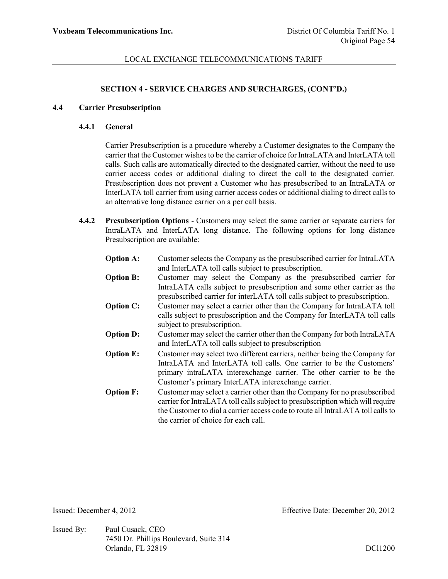# **SECTION 4 - SERVICE CHARGES AND SURCHARGES, (CONT'D.)**

#### **4.4 Carrier Presubscription**

#### **4.4.1 General**

Carrier Presubscription is a procedure whereby a Customer designates to the Company the carrier that the Customer wishes to be the carrier of choice for IntraLATA and InterLATA toll calls. Such calls are automatically directed to the designated carrier, without the need to use carrier access codes or additional dialing to direct the call to the designated carrier. Presubscription does not prevent a Customer who has presubscribed to an IntraLATA or InterLATA toll carrier from using carrier access codes or additional dialing to direct calls to an alternative long distance carrier on a per call basis.

**4.4.2 Presubscription Options** - Customers may select the same carrier or separate carriers for IntraLATA and InterLATA long distance. The following options for long distance Presubscription are available:

| <b>Option A:</b> | Customer selects the Company as the presubscribed carrier for IntraLATA<br>and InterLATA toll calls subject to presubscription.                                                                                                                                                        |
|------------------|----------------------------------------------------------------------------------------------------------------------------------------------------------------------------------------------------------------------------------------------------------------------------------------|
| <b>Option B:</b> | Customer may select the Company as the presubscribed carrier for<br>IntraLATA calls subject to presubscription and some other carrier as the<br>presubscribed carrier for interLATA toll calls subject to presubscription.                                                             |
| <b>Option C:</b> | Customer may select a carrier other than the Company for IntraLATA toll<br>calls subject to presubscription and the Company for InterLATA toll calls<br>subject to presubscription.                                                                                                    |
| <b>Option D:</b> | Customer may select the carrier other than the Company for both IntraLATA<br>and InterLATA toll calls subject to presubscription                                                                                                                                                       |
| <b>Option E:</b> | Customer may select two different carriers, neither being the Company for<br>IntraLATA and InterLATA toll calls. One carrier to be the Customers'<br>primary intraLATA interexchange carrier. The other carrier to be the<br>Customer's primary InterLATA interexchange carrier.       |
| <b>Option F:</b> | Customer may select a carrier other than the Company for no presubscribed<br>carrier for IntraLATA toll calls subject to presubscription which will require<br>the Customer to dial a carrier access code to route all IntraLATA toll calls to<br>the carrier of choice for each call. |

Issued By: Paul Cusack, CEO 7450 Dr. Phillips Boulevard, Suite 314 Orlando, FL 32819 DCl1200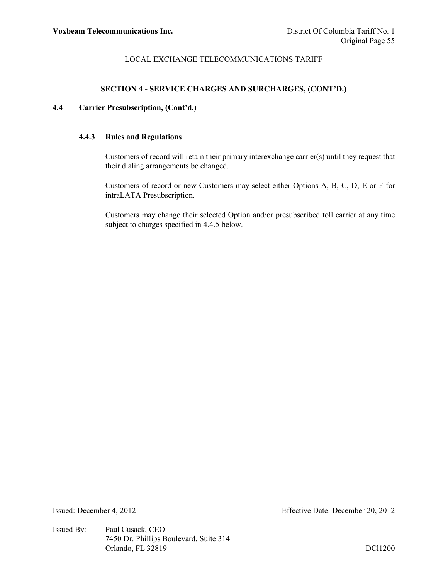# **SECTION 4 - SERVICE CHARGES AND SURCHARGES, (CONT'D.)**

# **4.4 Carrier Presubscription, (Cont'd.)**

# **4.4.3 Rules and Regulations**

Customers of record will retain their primary interexchange carrier(s) until they request that their dialing arrangements be changed.

Customers of record or new Customers may select either Options A, B, C, D, E or F for intraLATA Presubscription.

Customers may change their selected Option and/or presubscribed toll carrier at any time subject to charges specified in 4.4.5 below.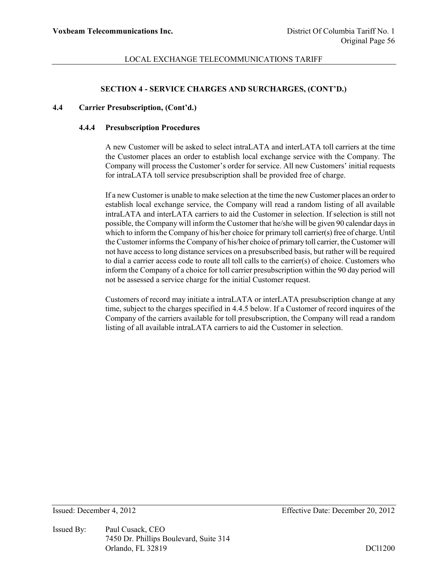### **SECTION 4 - SERVICE CHARGES AND SURCHARGES, (CONT'D.)**

#### **4.4 Carrier Presubscription, (Cont'd.)**

#### **4.4.4 Presubscription Procedures**

A new Customer will be asked to select intraLATA and interLATA toll carriers at the time the Customer places an order to establish local exchange service with the Company. The Company will process the Customer's order for service. All new Customers' initial requests for intraLATA toll service presubscription shall be provided free of charge.

If a new Customer is unable to make selection at the time the new Customer places an order to establish local exchange service, the Company will read a random listing of all available intraLATA and interLATA carriers to aid the Customer in selection. If selection is still not possible, the Company will inform the Customer that he/she will be given 90 calendar days in which to inform the Company of his/her choice for primary toll carrier(s) free of charge. Until the Customer informs the Company of his/her choice of primary toll carrier, the Customer will not have access to long distance services on a presubscribed basis, but rather will be required to dial a carrier access code to route all toll calls to the carrier(s) of choice. Customers who inform the Company of a choice for toll carrier presubscription within the 90 day period will not be assessed a service charge for the initial Customer request.

Customers of record may initiate a intraLATA or interLATA presubscription change at any time, subject to the charges specified in 4.4.5 below. If a Customer of record inquires of the Company of the carriers available for toll presubscription, the Company will read a random listing of all available intraLATA carriers to aid the Customer in selection.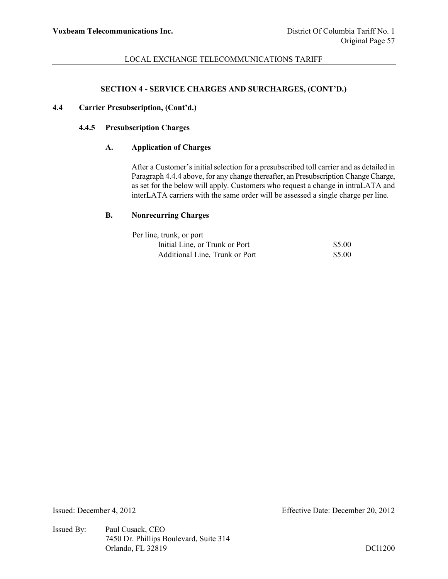### **SECTION 4 - SERVICE CHARGES AND SURCHARGES, (CONT'D.)**

### **4.4 Carrier Presubscription, (Cont'd.)**

### **4.4.5 Presubscription Charges**

### **A. Application of Charges**

After a Customer's initial selection for a presubscribed toll carrier and as detailed in Paragraph 4.4.4 above, for any change thereafter, an Presubscription Change Charge, as set for the below will apply. Customers who request a change in intraLATA and interLATA carriers with the same order will be assessed a single charge per line.

### **B. Nonrecurring Charges**

| Per line, trunk, or port       |        |
|--------------------------------|--------|
| Initial Line, or Trunk or Port | \$5.00 |
| Additional Line, Trunk or Port | \$5.00 |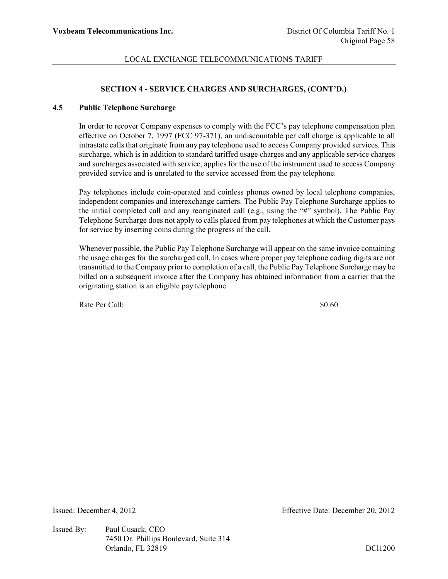# **SECTION 4 - SERVICE CHARGES AND SURCHARGES, (CONT'D.)**

### **4.5 Public Telephone Surcharge**

In order to recover Company expenses to comply with the FCC's pay telephone compensation plan effective on October 7, 1997 (FCC 97-371), an undiscountable per call charge is applicable to all intrastate calls that originate from any pay telephone used to access Company provided services. This surcharge, which is in addition to standard tariffed usage charges and any applicable service charges and surcharges associated with service, applies for the use of the instrument used to access Company provided service and is unrelated to the service accessed from the pay telephone.

Pay telephones include coin-operated and coinless phones owned by local telephone companies, independent companies and interexchange carriers. The Public Pay Telephone Surcharge applies to the initial completed call and any reoriginated call (e.g., using the  $H^*$  symbol). The Public Pay Telephone Surcharge does not apply to calls placed from pay telephones at which the Customer pays for service by inserting coins during the progress of the call.

Whenever possible, the Public Pay Telephone Surcharge will appear on the same invoice containing the usage charges for the surcharged call. In cases where proper pay telephone coding digits are not transmitted to the Company prior to completion of a call, the Public Pay Telephone Surcharge may be billed on a subsequent invoice after the Company has obtained information from a carrier that the originating station is an eligible pay telephone.

Rate Per Call:  $\$0.60$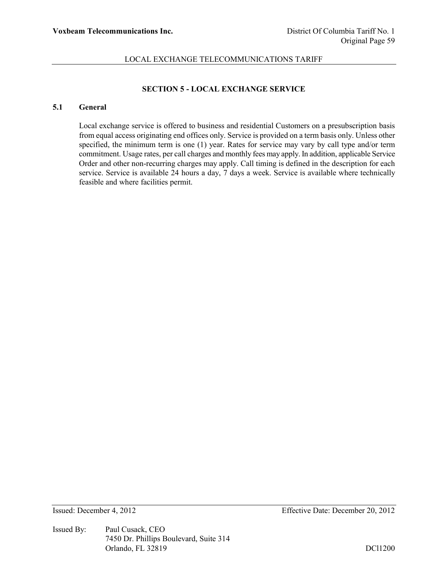# **SECTION 5 - LOCAL EXCHANGE SERVICE**

# **5.1 General**

Local exchange service is offered to business and residential Customers on a presubscription basis from equal access originating end offices only. Service is provided on a term basis only. Unless other specified, the minimum term is one (1) year. Rates for service may vary by call type and/or term commitment. Usage rates, per call charges and monthly fees may apply. In addition, applicable Service Order and other non-recurring charges may apply. Call timing is defined in the description for each service. Service is available 24 hours a day, 7 days a week. Service is available where technically feasible and where facilities permit.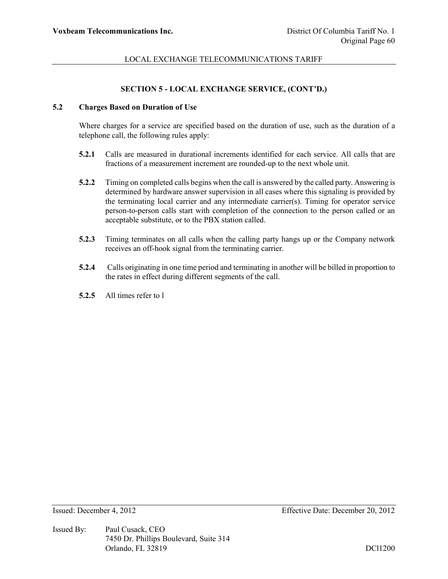# **SECTION 5 - LOCAL EXCHANGE SERVICE, (CONT'D.)**

# **5.2 Charges Based on Duration of Use**

Where charges for a service are specified based on the duration of use, such as the duration of a telephone call, the following rules apply:

- **5.2.1** Calls are measured in durational increments identified for each service. All calls that are fractions of a measurement increment are rounded-up to the next whole unit.
- **5.2.2** Timing on completed calls begins when the call is answered by the called party. Answering is determined by hardware answer supervision in all cases where this signaling is provided by the terminating local carrier and any intermediate carrier(s). Timing for operator service person-to-person calls start with completion of the connection to the person called or an acceptable substitute, or to the PBX station called.
- **5.2.3** Timing terminates on all calls when the calling party hangs up or the Company network receives an off-hook signal from the terminating carrier.
- **5.2.4** Calls originating in one time period and terminating in another will be billed in proportion to the rates in effect during different segments of the call.
- **5.2.5** All times refer to l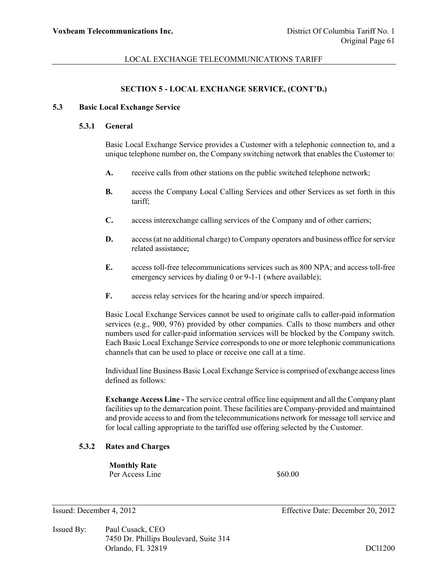# **SECTION 5 - LOCAL EXCHANGE SERVICE, (CONT'D.)**

#### **5.3 Basic Local Exchange Service**

#### **5.3.1 General**

Basic Local Exchange Service provides a Customer with a telephonic connection to, and a unique telephone number on, the Company switching network that enables the Customer to:

- **A.** receive calls from other stations on the public switched telephone network;
- **B.** access the Company Local Calling Services and other Services as set forth in this tariff;
- **C.** access interexchange calling services of the Company and of other carriers;
- **D.** access (at no additional charge) to Company operators and business office for service related assistance;
- **E.** access toll-free telecommunications services such as 800 NPA; and access toll-free emergency services by dialing 0 or 9-1-1 (where available);
- **F.** access relay services for the hearing and/or speech impaired.

Basic Local Exchange Services cannot be used to originate calls to caller-paid information services (e.g., 900, 976) provided by other companies. Calls to those numbers and other numbers used for caller-paid information services will be blocked by the Company switch. Each Basic Local Exchange Service corresponds to one or more telephonic communications channels that can be used to place or receive one call at a time.

Individual line Business Basic Local Exchange Service is comprised of exchange access lines defined as follows:

**Exchange Access Line -** The service central office line equipment and all the Company plant facilities up to the demarcation point. These facilities are Company-provided and maintained and provide access to and from the telecommunications network for message toll service and for local calling appropriate to the tariffed use offering selected by the Customer.

# **5.3.2 Rates and Charges**

**Monthly Rate** Per Access Line  $$60.00$ 

- Issued: December 4, 2012 Effective Date: December 20, 2012
- Issued By: Paul Cusack, CEO 7450 Dr. Phillips Boulevard, Suite 314 Orlando, FL 32819 DCl1200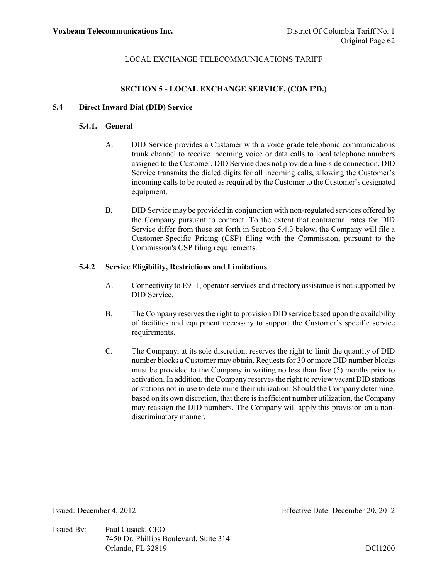# **SECTION 5 - LOCAL EXCHANGE SERVICE, (CONT'D.)**

#### **5.4 Direct Inward Dial (DID) Service**

# **5.4.1. General**

- A. DID Service provides a Customer with a voice grade telephonic communications trunk channel to receive incoming voice or data calls to local telephone numbers assigned to the Customer. DID Service does not provide a line-side connection. DID Service transmits the dialed digits for all incoming calls, allowing the Customer's incoming calls to be routed as required by the Customer to the Customer's designated equipment.
- B. DID Service may be provided in conjunction with non-regulated services offered by the Company pursuant to contract. To the extent that contractual rates for DID Service differ from those set forth in Section 5.4.3 below, the Company will file a Customer-Specific Pricing (CSP) filing with the Commission, pursuant to the Commission's CSP filing requirements.

#### **5.4.2 Service Eligibility, Restrictions and Limitations**

- A. Connectivity to E911, operator services and directory assistance is not supported by DID Service.
- B. The Company reserves the right to provision DID service based upon the availability of facilities and equipment necessary to support the Customer's specific service requirements.
- C. The Company, at its sole discretion, reserves the right to limit the quantity of DID number blocks a Customer may obtain. Requests for 30 or more DID number blocks must be provided to the Company in writing no less than five (5) months prior to activation. In addition, the Company reserves the right to review vacant DID stations or stations not in use to determine their utilization. Should the Company determine, based on its own discretion, that there is inefficient number utilization, the Company may reassign the DID numbers. The Company will apply this provision on a nondiscriminatory manner.

Issued By: Paul Cusack, CEO 7450 Dr. Phillips Boulevard, Suite 314 Orlando, FL 32819 DCl1200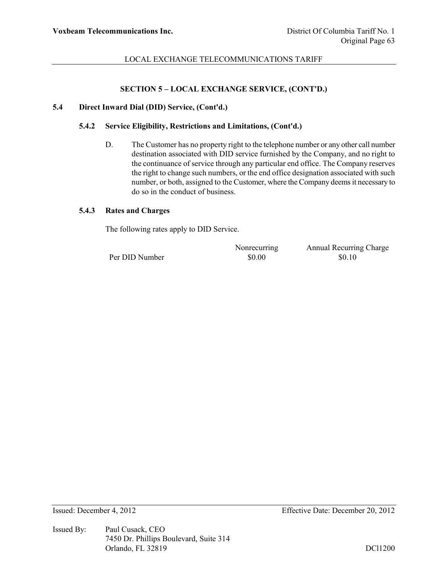### **SECTION 5 – LOCAL EXCHANGE SERVICE, (CONT'D.)**

# **5.4 Direct Inward Dial (DID) Service, (Cont'd.)**

# **5.4.2 Service Eligibility, Restrictions and Limitations, (Cont'd.)**

D. The Customer has no property right to the telephone number or any other call number destination associated with DID service furnished by the Company, and no right to the continuance of service through any particular end office. The Company reserves the right to change such numbers, or the end office designation associated with such number, or both, assigned to the Customer, where the Company deems it necessary to do so in the conduct of business.

# **5.4.3 Rates and Charges**

The following rates apply to DID Service.

Per DID Number  $$0.00$  \$0.10

Nonrecurring Annual Recurring Charge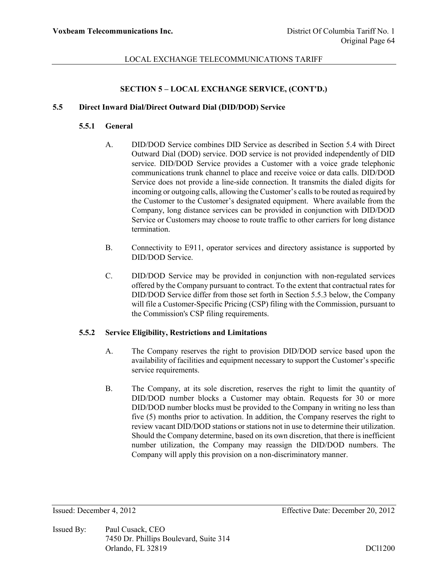# **SECTION 5 – LOCAL EXCHANGE SERVICE, (CONT'D.)**

### **5.5 Direct Inward Dial/Direct Outward Dial (DID/DOD) Service**

# **5.5.1 General**

- A. DID/DOD Service combines DID Service as described in Section 5.4 with Direct Outward Dial (DOD) service. DOD service is not provided independently of DID service. DID/DOD Service provides a Customer with a voice grade telephonic communications trunk channel to place and receive voice or data calls. DID/DOD Service does not provide a line-side connection. It transmits the dialed digits for incoming or outgoing calls, allowing the Customer's calls to be routed as required by the Customer to the Customer's designated equipment. Where available from the Company, long distance services can be provided in conjunction with DID/DOD Service or Customers may choose to route traffic to other carriers for long distance termination.
- B. Connectivity to E911, operator services and directory assistance is supported by DID/DOD Service.
- C. DID/DOD Service may be provided in conjunction with non-regulated services offered by the Company pursuant to contract. To the extent that contractual rates for DID/DOD Service differ from those set forth in Section 5.5.3 below, the Company will file a Customer-Specific Pricing (CSP) filing with the Commission, pursuant to the Commission's CSP filing requirements.

# **5.5.2 Service Eligibility, Restrictions and Limitations**

- A. The Company reserves the right to provision DID/DOD service based upon the availability of facilities and equipment necessary to support the Customer's specific service requirements.
- B. The Company, at its sole discretion, reserves the right to limit the quantity of DID/DOD number blocks a Customer may obtain. Requests for 30 or more DID/DOD number blocks must be provided to the Company in writing no less than five (5) months prior to activation. In addition, the Company reserves the right to review vacant DID/DOD stations or stations not in use to determine their utilization. Should the Company determine, based on its own discretion, that there is inefficient number utilization, the Company may reassign the DID/DOD numbers. The Company will apply this provision on a non-discriminatory manner.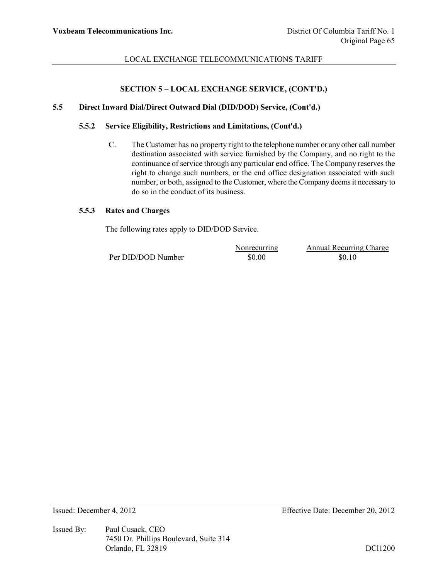# **SECTION 5 – LOCAL EXCHANGE SERVICE, (CONT'D.)**

# **5.5 Direct Inward Dial/Direct Outward Dial (DID/DOD) Service, (Cont'd.)**

# **5.5.2 Service Eligibility, Restrictions and Limitations, (Cont'd.)**

C. The Customer has no property right to the telephone number or any other call number destination associated with service furnished by the Company, and no right to the continuance of service through any particular end office. The Company reserves the right to change such numbers, or the end office designation associated with such number, or both, assigned to the Customer, where the Company deems it necessary to do so in the conduct of its business.

# **5.5.3 Rates and Charges**

The following rates apply to DID/DOD Service.

Per DID/DOD Number  $$0.00$  \$0.10

Nonrecurring Annual Recurring Charge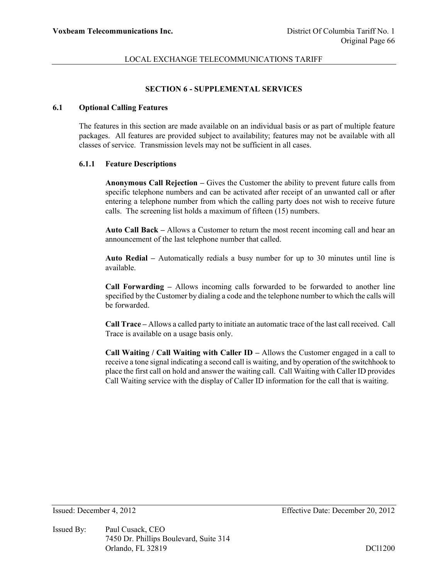# **SECTION 6 - SUPPLEMENTAL SERVICES**

#### **6.1 Optional Calling Features**

The features in this section are made available on an individual basis or as part of multiple feature packages. All features are provided subject to availability; features may not be available with all classes of service. Transmission levels may not be sufficient in all cases.

### **6.1.1 Feature Descriptions**

**Anonymous Call Rejection –** Gives the Customer the ability to prevent future calls from specific telephone numbers and can be activated after receipt of an unwanted call or after entering a telephone number from which the calling party does not wish to receive future calls. The screening list holds a maximum of fifteen (15) numbers.

**Auto Call Back –** Allows a Customer to return the most recent incoming call and hear an announcement of the last telephone number that called.

**Auto Redial –** Automatically redials a busy number for up to 30 minutes until line is available.

**Call Forwarding –** Allows incoming calls forwarded to be forwarded to another line specified by the Customer by dialing a code and the telephone number to which the calls will be forwarded.

**Call Trace –** Allows a called party to initiate an automatic trace of the last call received. Call Trace is available on a usage basis only.

**Call Waiting / Call Waiting with Caller ID –** Allows the Customer engaged in a call to receive a tone signal indicating a second call is waiting, and by operation of the switchhook to place the first call on hold and answer the waiting call. Call Waiting with Caller ID provides Call Waiting service with the display of Caller ID information for the call that is waiting.

Issued By: Paul Cusack, CEO 7450 Dr. Phillips Boulevard, Suite 314 Orlando, FL 32819 DCl1200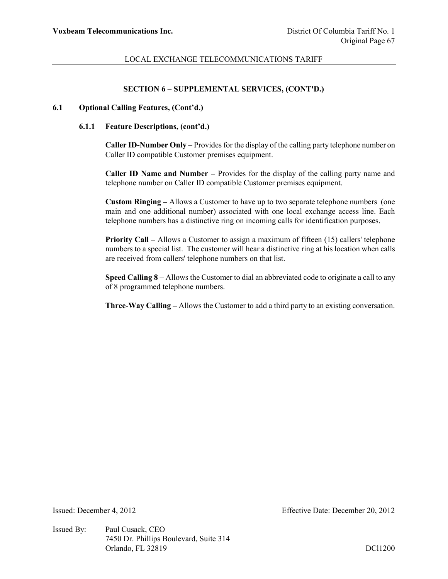### **SECTION 6 – SUPPLEMENTAL SERVICES, (CONT'D.)**

#### **6.1 Optional Calling Features, (Cont'd.)**

#### **6.1.1 Feature Descriptions, (cont'd.)**

**Caller ID-Number Only –** Provides for the display of the calling party telephone number on Caller ID compatible Customer premises equipment.

**Caller ID Name and Number –** Provides for the display of the calling party name and telephone number on Caller ID compatible Customer premises equipment.

**Custom Ringing –** Allows a Customer to have up to two separate telephone numbers (one main and one additional number) associated with one local exchange access line. Each telephone numbers has a distinctive ring on incoming calls for identification purposes.

**Priority Call –** Allows a Customer to assign a maximum of fifteen (15) callers' telephone numbers to a special list. The customer will hear a distinctive ring at his location when calls are received from callers' telephone numbers on that list.

**Speed Calling 8 –** Allows the Customer to dial an abbreviated code to originate a call to any of 8 programmed telephone numbers.

**Three-Way Calling –** Allows the Customer to add a third party to an existing conversation.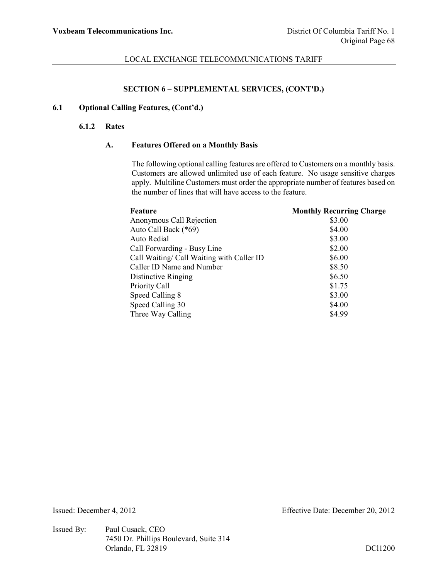# **SECTION 6 – SUPPLEMENTAL SERVICES, (CONT'D.)**

## **6.1 Optional Calling Features, (Cont'd.)**

#### **6.1.2 Rates**

#### **A. Features Offered on a Monthly Basis**

The following optional calling features are offered to Customers on a monthly basis. Customers are allowed unlimited use of each feature. No usage sensitive charges apply. Multiline Customers must order the appropriate number of features based on the number of lines that will have access to the feature.

| <b>Monthly Recurring Charge</b> |
|---------------------------------|
| \$3.00                          |
| \$4.00                          |
| \$3.00                          |
| \$2.00                          |
| \$6.00                          |
| \$8.50                          |
| \$6.50                          |
| \$1.75                          |
| \$3.00                          |
| \$4.00                          |
| \$4.99                          |
|                                 |

Issued By: Paul Cusack, CEO 7450 Dr. Phillips Boulevard, Suite 314 Orlando, FL 32819 DCl1200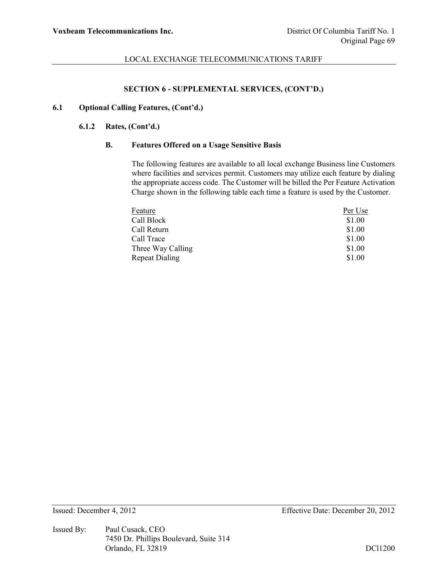# **SECTION 6 - SUPPLEMENTAL SERVICES, (CONT'D.)**

## **6.1 Optional Calling Features, (Cont'd.)**

### **6.1.2 Rates, (Cont'd.)**

### **B. Features Offered on a Usage Sensitive Basis**

The following features are available to all local exchange Business line Customers where facilities and services permit. Customers may utilize each feature by dialing the appropriate access code. The Customer will be billed the Per Feature Activation Charge shown in the following table each time a feature is used by the Customer.

| Feature               | Per Use |
|-----------------------|---------|
| Call Block            | \$1.00  |
| Call Return           | \$1.00  |
| Call Trace            | \$1.00  |
| Three Way Calling     | \$1.00  |
| <b>Repeat Dialing</b> | \$1.00  |

Issued By: Paul Cusack, CEO 7450 Dr. Phillips Boulevard, Suite 314 Orlando, FL 32819 DCl1200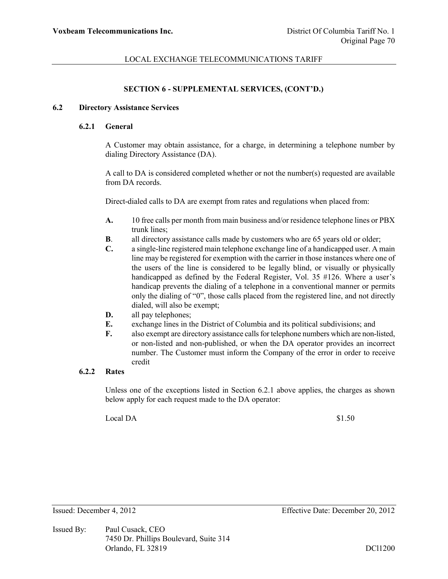### **SECTION 6 - SUPPLEMENTAL SERVICES, (CONT'D.)**

#### **6.2 Directory Assistance Services**

### **6.2.1 General**

A Customer may obtain assistance, for a charge, in determining a telephone number by dialing Directory Assistance (DA).

A call to DA is considered completed whether or not the number(s) requested are available from DA records.

Direct-dialed calls to DA are exempt from rates and regulations when placed from:

- **A.** 10 free calls per month from main business and/or residence telephone lines or PBX trunk lines;
- **B**. all directory assistance calls made by customers who are 65 years old or older;
- **C.** a single-line registered main telephone exchange line of a handicapped user. A main line may be registered for exemption with the carrier in those instances where one of the users of the line is considered to be legally blind, or visually or physically handicapped as defined by the Federal Register, Vol. 35 #126. Where a user's handicap prevents the dialing of a telephone in a conventional manner or permits only the dialing of "0", those calls placed from the registered line, and not directly dialed, will also be exempt;
- **D.** all pay telephones;
- **E.** exchange lines in the District of Columbia and its political subdivisions; and
- **F.** also exempt are directory assistance calls for telephone numbers which are non-listed, or non-listed and non-published, or when the DA operator provides an incorrect number. The Customer must inform the Company of the error in order to receive credit

# **6.2.2 Rates**

Unless one of the exceptions listed in Section 6.2.1 above applies, the charges as shown below apply for each request made to the DA operator:

Local DA \$1.50

Issued By: Paul Cusack, CEO 7450 Dr. Phillips Boulevard, Suite 314 Orlando, FL 32819 DCl1200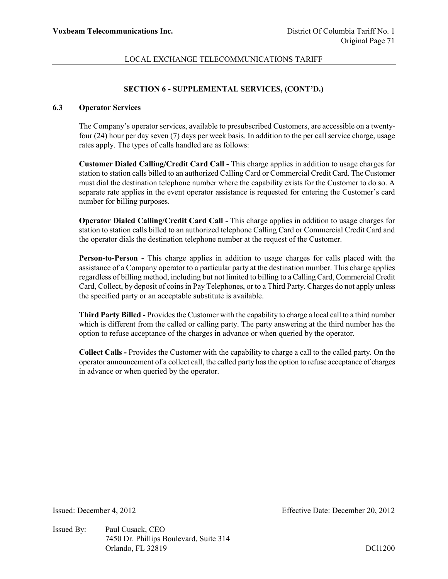### **SECTION 6 - SUPPLEMENTAL SERVICES, (CONT'D.)**

# **6.3 Operator Services**

The Company's operator services, available to presubscribed Customers, are accessible on a twentyfour (24) hour per day seven (7) days per week basis. In addition to the per call service charge, usage rates apply. The types of calls handled are as follows:

**Customer Dialed Calling/Credit Card Call -** This charge applies in addition to usage charges for station to station calls billed to an authorized Calling Card or Commercial Credit Card. The Customer must dial the destination telephone number where the capability exists for the Customer to do so. A separate rate applies in the event operator assistance is requested for entering the Customer's card number for billing purposes.

**Operator Dialed Calling/Credit Card Call -** This charge applies in addition to usage charges for station to station calls billed to an authorized telephone Calling Card or Commercial Credit Card and the operator dials the destination telephone number at the request of the Customer.

**Person-to-Person -** This charge applies in addition to usage charges for calls placed with the assistance of a Company operator to a particular party at the destination number. This charge applies regardless of billing method, including but not limited to billing to a Calling Card, Commercial Credit Card, Collect, by deposit of coins in Pay Telephones, or to a Third Party. Charges do not apply unless the specified party or an acceptable substitute is available.

**Third Party Billed -** Provides the Customer with the capability to charge a local call to a third number which is different from the called or calling party. The party answering at the third number has the option to refuse acceptance of the charges in advance or when queried by the operator.

**Collect Calls -** Provides the Customer with the capability to charge a call to the called party. On the operator announcement of a collect call, the called party has the option to refuse acceptance of charges in advance or when queried by the operator.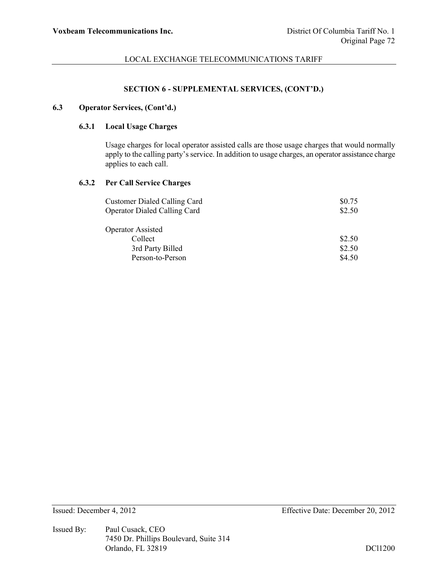### **SECTION 6 - SUPPLEMENTAL SERVICES, (CONT'D.)**

#### **6.3 Operator Services, (Cont'd.)**

## **6.3.1 Local Usage Charges**

Usage charges for local operator assisted calls are those usage charges that would normally apply to the calling party's service. In addition to usage charges, an operator assistance charge applies to each call.

# **6.3.2 Per Call Service Charges**

| <b>Customer Dialed Calling Card</b> | \$0.75 |
|-------------------------------------|--------|
| <b>Operator Dialed Calling Card</b> | \$2.50 |
| <b>Operator Assisted</b>            |        |
| Collect                             | \$2.50 |
| 3rd Party Billed                    | \$2.50 |
| Person-to-Person                    | \$4.50 |

Issued By: Paul Cusack, CEO 7450 Dr. Phillips Boulevard, Suite 314 Orlando, FL 32819 DCl1200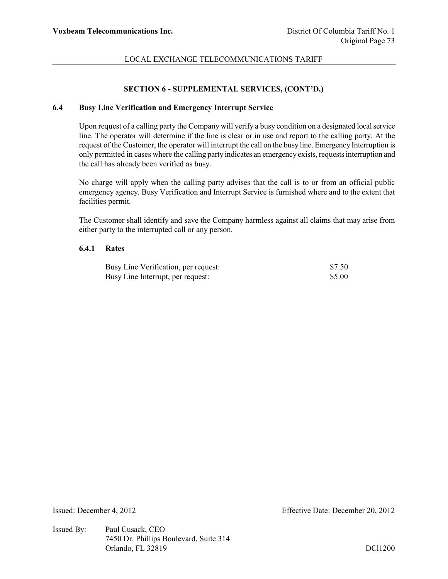#### **SECTION 6 - SUPPLEMENTAL SERVICES, (CONT'D.)**

#### **6.4 Busy Line Verification and Emergency Interrupt Service**

Upon request of a calling party the Company will verify a busy condition on a designated local service line. The operator will determine if the line is clear or in use and report to the calling party. At the request of the Customer, the operator will interrupt the call on the busy line. Emergency Interruption is only permitted in cases where the calling party indicates an emergency exists, requests interruption and the call has already been verified as busy.

No charge will apply when the calling party advises that the call is to or from an official public emergency agency. Busy Verification and Interrupt Service is furnished where and to the extent that facilities permit.

The Customer shall identify and save the Company harmless against all claims that may arise from either party to the interrupted call or any person.

#### **6.4.1 Rates**

| Busy Line Verification, per request: | \$7.50 |
|--------------------------------------|--------|
| Busy Line Interrupt, per request:    | \$5.00 |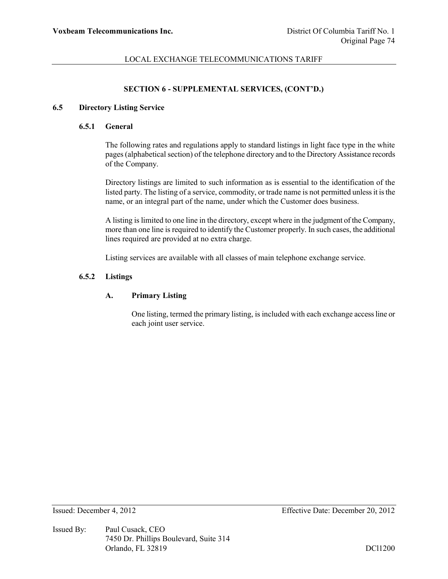### **SECTION 6 - SUPPLEMENTAL SERVICES, (CONT'D.)**

#### **6.5 Directory Listing Service**

### **6.5.1 General**

The following rates and regulations apply to standard listings in light face type in the white pages (alphabetical section) of the telephone directory and to the Directory Assistance records of the Company.

Directory listings are limited to such information as is essential to the identification of the listed party. The listing of a service, commodity, or trade name is not permitted unless it is the name, or an integral part of the name, under which the Customer does business.

A listing is limited to one line in the directory, except where in the judgment of the Company, more than one line is required to identify the Customer properly. In such cases, the additional lines required are provided at no extra charge.

Listing services are available with all classes of main telephone exchange service.

#### **6.5.2 Listings**

### **A. Primary Listing**

One listing, termed the primary listing, is included with each exchange access line or each joint user service.

Issued By: Paul Cusack, CEO 7450 Dr. Phillips Boulevard, Suite 314 Orlando, FL 32819 DCl1200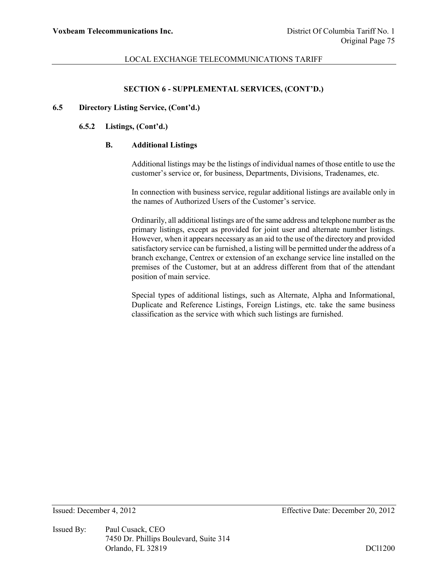#### **SECTION 6 - SUPPLEMENTAL SERVICES, (CONT'D.)**

#### **6.5 Directory Listing Service, (Cont'd.)**

### **6.5.2 Listings, (Cont'd.)**

### **B. Additional Listings**

Additional listings may be the listings of individual names of those entitle to use the customer's service or, for business, Departments, Divisions, Tradenames, etc.

In connection with business service, regular additional listings are available only in the names of Authorized Users of the Customer's service.

Ordinarily, all additional listings are of the same address and telephone number as the primary listings, except as provided for joint user and alternate number listings. However, when it appears necessary as an aid to the use of the directory and provided satisfactory service can be furnished, a listing will be permitted under the address of a branch exchange, Centrex or extension of an exchange service line installed on the premises of the Customer, but at an address different from that of the attendant position of main service.

Special types of additional listings, such as Alternate, Alpha and Informational, Duplicate and Reference Listings, Foreign Listings, etc. take the same business classification as the service with which such listings are furnished.

Issued By: Paul Cusack, CEO 7450 Dr. Phillips Boulevard, Suite 314 Orlando, FL 32819 DCl1200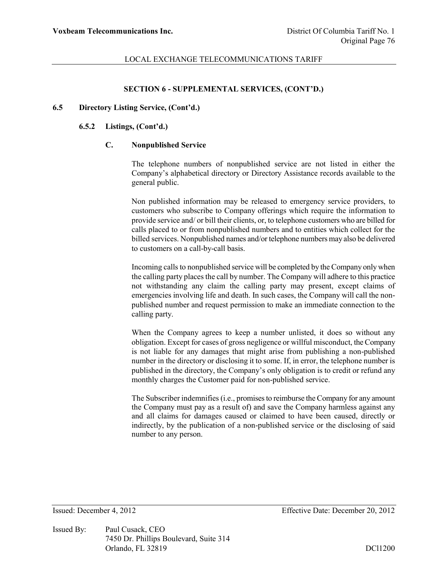#### **SECTION 6 - SUPPLEMENTAL SERVICES, (CONT'D.)**

### **6.5 Directory Listing Service, (Cont'd.)**

### **6.5.2 Listings, (Cont'd.)**

### **C. Nonpublished Service**

The telephone numbers of nonpublished service are not listed in either the Company's alphabetical directory or Directory Assistance records available to the general public.

Non published information may be released to emergency service providers, to customers who subscribe to Company offerings which require the information to provide service and/ or bill their clients, or, to telephone customers who are billed for calls placed to or from nonpublished numbers and to entities which collect for the billed services. Nonpublished names and/or telephone numbers may also be delivered to customers on a call-by-call basis.

Incoming calls to nonpublished service will be completed by the Company only when the calling party places the call by number. The Company will adhere to this practice not withstanding any claim the calling party may present, except claims of emergencies involving life and death. In such cases, the Company will call the nonpublished number and request permission to make an immediate connection to the calling party.

When the Company agrees to keep a number unlisted, it does so without any obligation. Except for cases of gross negligence or willful misconduct, the Company is not liable for any damages that might arise from publishing a non-published number in the directory or disclosing it to some. If, in error, the telephone number is published in the directory, the Company's only obligation is to credit or refund any monthly charges the Customer paid for non-published service.

The Subscriber indemnifies (i.e., promises to reimburse the Company for any amount the Company must pay as a result of) and save the Company harmless against any and all claims for damages caused or claimed to have been caused, directly or indirectly, by the publication of a non-published service or the disclosing of said number to any person.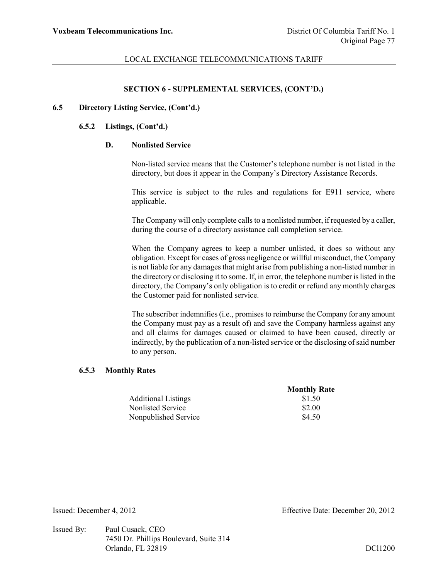#### **SECTION 6 - SUPPLEMENTAL SERVICES, (CONT'D.)**

### **6.5 Directory Listing Service, (Cont'd.)**

#### **6.5.2 Listings, (Cont'd.)**

### **D. Nonlisted Service**

Non-listed service means that the Customer's telephone number is not listed in the directory, but does it appear in the Company's Directory Assistance Records.

This service is subject to the rules and regulations for E911 service, where applicable.

The Company will only complete calls to a nonlisted number, if requested by a caller, during the course of a directory assistance call completion service.

When the Company agrees to keep a number unlisted, it does so without any obligation. Except for cases of gross negligence or willful misconduct, the Company is not liable for any damages that might arise from publishing a non-listed number in the directory or disclosing it to some. If, in error, the telephone number is listed in the directory, the Company's only obligation is to credit or refund any monthly charges the Customer paid for nonlisted service.

The subscriber indemnifies (i.e., promises to reimburse the Company for any amount the Company must pay as a result of) and save the Company harmless against any and all claims for damages caused or claimed to have been caused, directly or indirectly, by the publication of a non-listed service or the disclosing of said number to any person.

#### **6.5.3 Monthly Rates**

|                            | <b>Monthly Rate</b> |
|----------------------------|---------------------|
| <b>Additional Listings</b> | \$1.50              |
| Nonlisted Service          | \$2.00              |
| Nonpublished Service       | \$4.50              |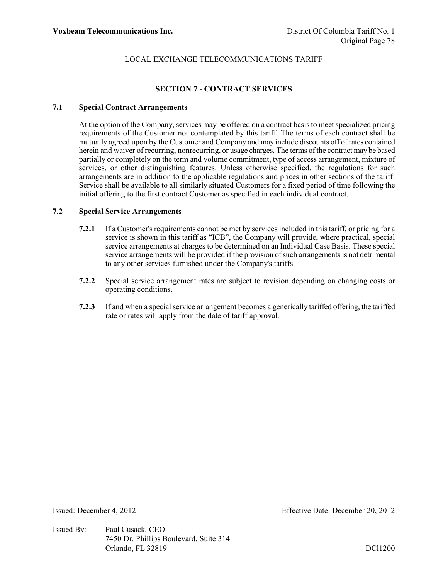### **SECTION 7 - CONTRACT SERVICES**

### **7.1 Special Contract Arrangements**

At the option of the Company, services may be offered on a contract basis to meet specialized pricing requirements of the Customer not contemplated by this tariff. The terms of each contract shall be mutually agreed upon by the Customer and Company and may include discounts off of rates contained herein and waiver of recurring, nonrecurring, or usage charges. The terms of the contract may be based partially or completely on the term and volume commitment, type of access arrangement, mixture of services, or other distinguishing features. Unless otherwise specified, the regulations for such arrangements are in addition to the applicable regulations and prices in other sections of the tariff. Service shall be available to all similarly situated Customers for a fixed period of time following the initial offering to the first contract Customer as specified in each individual contract.

#### **7.2 Special Service Arrangements**

- **7.2.1** If a Customer's requirements cannot be met by services included in this tariff, or pricing for a service is shown in this tariff as "ICB", the Company will provide, where practical, special service arrangements at charges to be determined on an Individual Case Basis. These special service arrangements will be provided if the provision of such arrangements is not detrimental to any other services furnished under the Company's tariffs.
- **7.2.2** Special service arrangement rates are subject to revision depending on changing costs or operating conditions.
- **7.2.3** If and when a special service arrangement becomes a generically tariffed offering, the tariffed rate or rates will apply from the date of tariff approval.

Issued By: Paul Cusack, CEO 7450 Dr. Phillips Boulevard, Suite 314 Orlando, FL 32819 DCl1200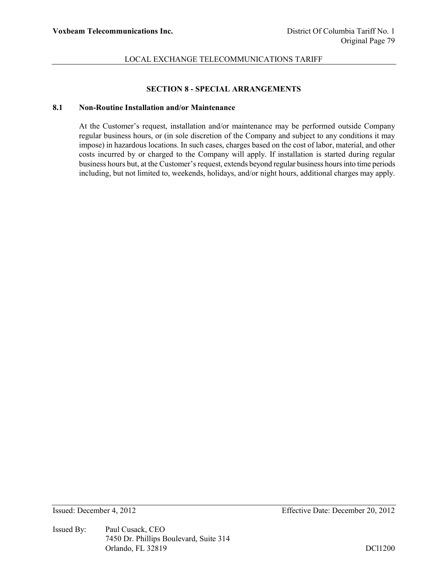#### **SECTION 8 - SPECIAL ARRANGEMENTS**

#### **8.1 Non-Routine Installation and/or Maintenance**

At the Customer's request, installation and/or maintenance may be performed outside Company regular business hours, or (in sole discretion of the Company and subject to any conditions it may impose) in hazardous locations. In such cases, charges based on the cost of labor, material, and other costs incurred by or charged to the Company will apply. If installation is started during regular business hours but, at the Customer's request, extends beyond regular business hours into time periods including, but not limited to, weekends, holidays, and/or night hours, additional charges may apply.